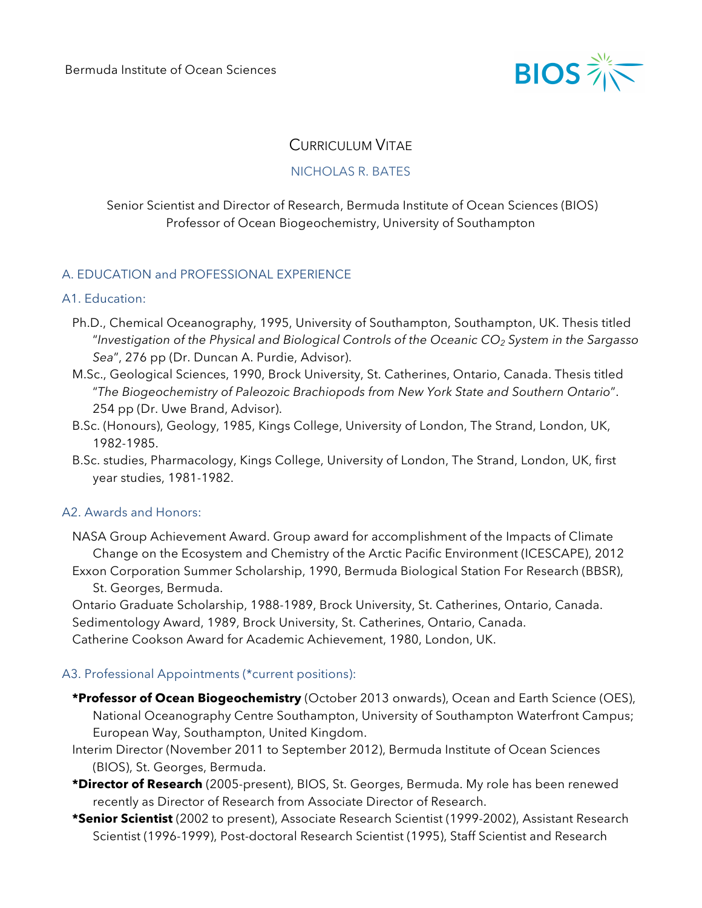

# CURRICULUM VITAE

## NICHOLAS R. BATES

## Senior Scientist and Director of Research, Bermuda Institute of Ocean Sciences (BIOS) Professor of Ocean Biogeochemistry, University of Southampton

## A. EDUCATION and PROFESSIONAL EXPERIENCE

#### A1. Education:

- Ph.D., Chemical Oceanography, 1995, University of Southampton, Southampton, UK. Thesis titled "*Investigation of the Physical and Biological Controls of the Oceanic CO2 System in the Sargasso Sea*", 276 pp (Dr. Duncan A. Purdie, Advisor).
- M.Sc., Geological Sciences, 1990, Brock University, St. Catherines, Ontario, Canada. Thesis titled "*The Biogeochemistry of Paleozoic Brachiopods from New York State and Southern Ontario*". 254 pp (Dr. Uwe Brand, Advisor).
- B.Sc. (Honours), Geology, 1985, Kings College, University of London, The Strand, London, UK, 1982-1985.
- B.Sc. studies, Pharmacology, Kings College, University of London, The Strand, London, UK, first year studies, 1981-1982.

## A2. Awards and Honors:

- NASA Group Achievement Award. Group award for accomplishment of the Impacts of Climate Change on the Ecosystem and Chemistry of the Arctic Pacific Environment (ICESCAPE), 2012
- Exxon Corporation Summer Scholarship, 1990, Bermuda Biological Station For Research (BBSR), St. Georges, Bermuda.

Ontario Graduate Scholarship, 1988-1989, Brock University, St. Catherines, Ontario, Canada. Sedimentology Award, 1989, Brock University, St. Catherines, Ontario, Canada. Catherine Cookson Award for Academic Achievement, 1980, London, UK.

## A3. Professional Appointments (\*current positions):

- **\*Professor of Ocean Biogeochemistry** (October 2013 onwards), Ocean and Earth Science (OES), National Oceanography Centre Southampton, University of Southampton Waterfront Campus; European Way, Southampton, United Kingdom.
- Interim Director (November 2011 to September 2012), Bermuda Institute of Ocean Sciences (BIOS), St. Georges, Bermuda.
- **\*Director of Research** (2005-present), BIOS, St. Georges, Bermuda. My role has been renewed recently as Director of Research from Associate Director of Research.
- **\*Senior Scientist** (2002 to present), Associate Research Scientist (1999-2002), Assistant Research Scientist (1996-1999), Post-doctoral Research Scientist (1995), Staff Scientist and Research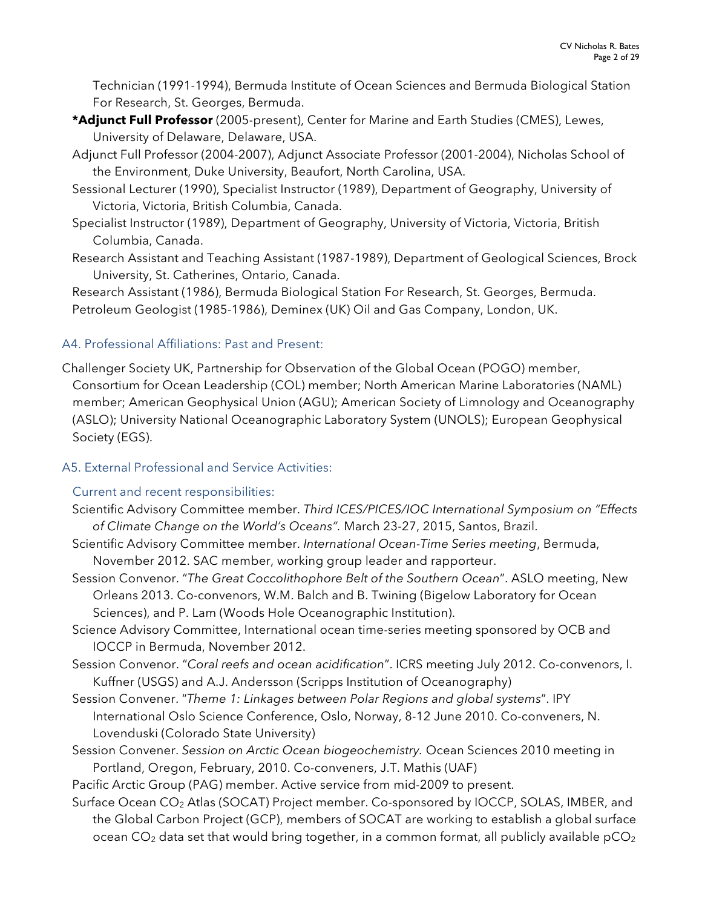Technician (1991-1994), Bermuda Institute of Ocean Sciences and Bermuda Biological Station For Research, St. Georges, Bermuda.

- **\*Adjunct Full Professor** (2005-present), Center for Marine and Earth Studies (CMES), Lewes, University of Delaware, Delaware, USA.
- Adjunct Full Professor (2004-2007), Adjunct Associate Professor (2001-2004), Nicholas School of the Environment, Duke University, Beaufort, North Carolina, USA.
- Sessional Lecturer (1990), Specialist Instructor (1989), Department of Geography, University of Victoria, Victoria, British Columbia, Canada.
- Specialist Instructor (1989), Department of Geography, University of Victoria, Victoria, British Columbia, Canada.
- Research Assistant and Teaching Assistant (1987-1989), Department of Geological Sciences, Brock University, St. Catherines, Ontario, Canada.

Research Assistant (1986), Bermuda Biological Station For Research, St. Georges, Bermuda. Petroleum Geologist (1985-1986), Deminex (UK) Oil and Gas Company, London, UK.

# A4. Professional Affiliations: Past and Present:

Challenger Society UK, Partnership for Observation of the Global Ocean (POGO) member, Consortium for Ocean Leadership (COL) member; North American Marine Laboratories (NAML) member; American Geophysical Union (AGU); American Society of Limnology and Oceanography (ASLO); University National Oceanographic Laboratory System (UNOLS); European Geophysical Society (EGS).

# A5. External Professional and Service Activities:

## Current and recent responsibilities:

- Scientific Advisory Committee member. *Third ICES/PICES/IOC International Symposium on "Effects of Climate Change on the World's Oceans".* March 23-27, 2015, Santos, Brazil.
- Scientific Advisory Committee member. *International Ocean-Time Series meeting*, Bermuda, November 2012. SAC member, working group leader and rapporteur.
- Session Convenor. "*The Great Coccolithophore Belt of the Southern Ocean*". ASLO meeting, New Orleans 2013. Co-convenors, W.M. Balch and B. Twining (Bigelow Laboratory for Ocean Sciences), and P. Lam (Woods Hole Oceanographic Institution).
- Science Advisory Committee, International ocean time-series meeting sponsored by OCB and IOCCP in Bermuda, November 2012.
- Session Convenor. "*Coral reefs and ocean acidification*". ICRS meeting July 2012. Co-convenors, I. Kuffner (USGS) and A.J. Andersson (Scripps Institution of Oceanography)
- Session Convener. "*Theme 1: Linkages between Polar Regions and global systems*". IPY International Oslo Science Conference, Oslo, Norway, 8-12 June 2010. Co-conveners, N. Lovenduski (Colorado State University)
- Session Convener. *Session on Arctic Ocean biogeochemistry.* Ocean Sciences 2010 meeting in Portland, Oregon, February, 2010. Co-conveners, J.T. Mathis (UAF)
- Pacific Arctic Group (PAG) member. Active service from mid-2009 to present.
- Surface Ocean CO<sub>2</sub> Atlas (SOCAT) Project member. Co-sponsored by IOCCP, SOLAS, IMBER, and the Global Carbon Project (GCP), members of SOCAT are working to establish a global surface ocean CO<sub>2</sub> data set that would bring together, in a common format, all publicly available pCO<sub>2</sub>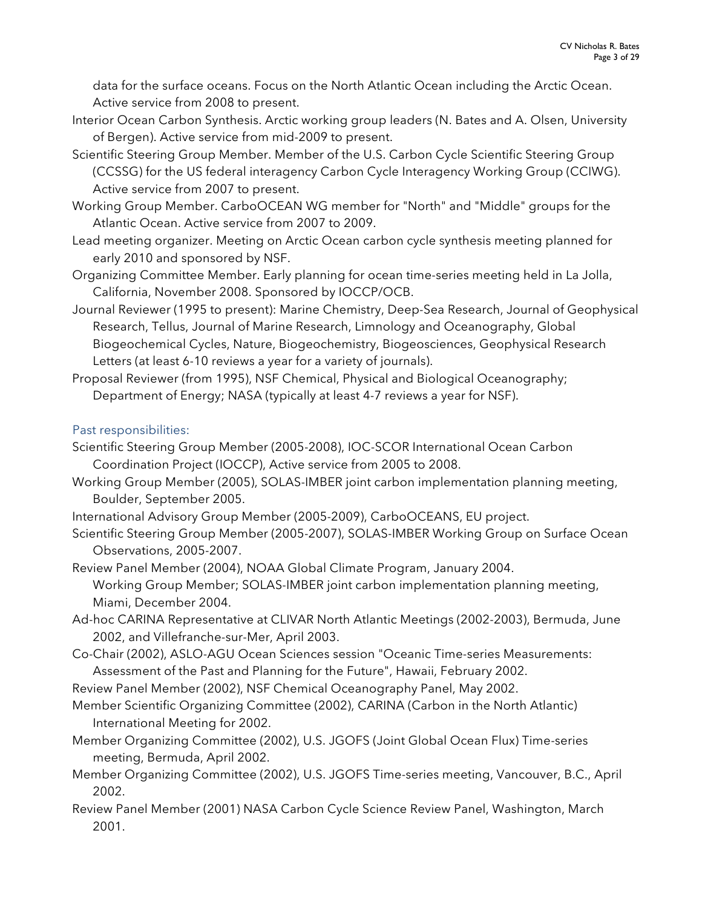data for the surface oceans. Focus on the North Atlantic Ocean including the Arctic Ocean. Active service from 2008 to present.

- Interior Ocean Carbon Synthesis. Arctic working group leaders (N. Bates and A. Olsen, University of Bergen). Active service from mid-2009 to present.
- Scientific Steering Group Member. Member of the U.S. Carbon Cycle Scientific Steering Group (CCSSG) for the US federal interagency Carbon Cycle Interagency Working Group (CCIWG). Active service from 2007 to present.
- Working Group Member. CarboOCEAN WG member for "North" and "Middle" groups for the Atlantic Ocean. Active service from 2007 to 2009.
- Lead meeting organizer. Meeting on Arctic Ocean carbon cycle synthesis meeting planned for early 2010 and sponsored by NSF.
- Organizing Committee Member. Early planning for ocean time-series meeting held in La Jolla, California, November 2008. Sponsored by IOCCP/OCB.
- Journal Reviewer (1995 to present): Marine Chemistry, Deep-Sea Research, Journal of Geophysical Research, Tellus, Journal of Marine Research, Limnology and Oceanography, Global Biogeochemical Cycles, Nature, Biogeochemistry, Biogeosciences, Geophysical Research Letters (at least 6-10 reviews a year for a variety of journals).
- Proposal Reviewer (from 1995), NSF Chemical, Physical and Biological Oceanography; Department of Energy; NASA (typically at least 4-7 reviews a year for NSF).

## Past responsibilities:

- Scientific Steering Group Member (2005-2008), IOC-SCOR International Ocean Carbon Coordination Project (IOCCP), Active service from 2005 to 2008.
- Working Group Member (2005), SOLAS-IMBER joint carbon implementation planning meeting, Boulder, September 2005.
- International Advisory Group Member (2005-2009), CarboOCEANS, EU project.
- Scientific Steering Group Member (2005-2007), SOLAS-IMBER Working Group on Surface Ocean Observations, 2005-2007.
- Review Panel Member (2004), NOAA Global Climate Program, January 2004. Working Group Member; SOLAS-IMBER joint carbon implementation planning meeting, Miami, December 2004.
- Ad-hoc CARINA Representative at CLIVAR North Atlantic Meetings (2002-2003), Bermuda, June 2002, and Villefranche-sur-Mer, April 2003.
- Co-Chair (2002), ASLO-AGU Ocean Sciences session "Oceanic Time-series Measurements: Assessment of the Past and Planning for the Future", Hawaii, February 2002.
- Review Panel Member (2002), NSF Chemical Oceanography Panel, May 2002.
- Member Scientific Organizing Committee (2002), CARINA (Carbon in the North Atlantic) International Meeting for 2002.
- Member Organizing Committee (2002), U.S. JGOFS (Joint Global Ocean Flux) Time-series meeting, Bermuda, April 2002.
- Member Organizing Committee (2002), U.S. JGOFS Time-series meeting, Vancouver, B.C., April 2002.
- Review Panel Member (2001) NASA Carbon Cycle Science Review Panel, Washington, March 2001.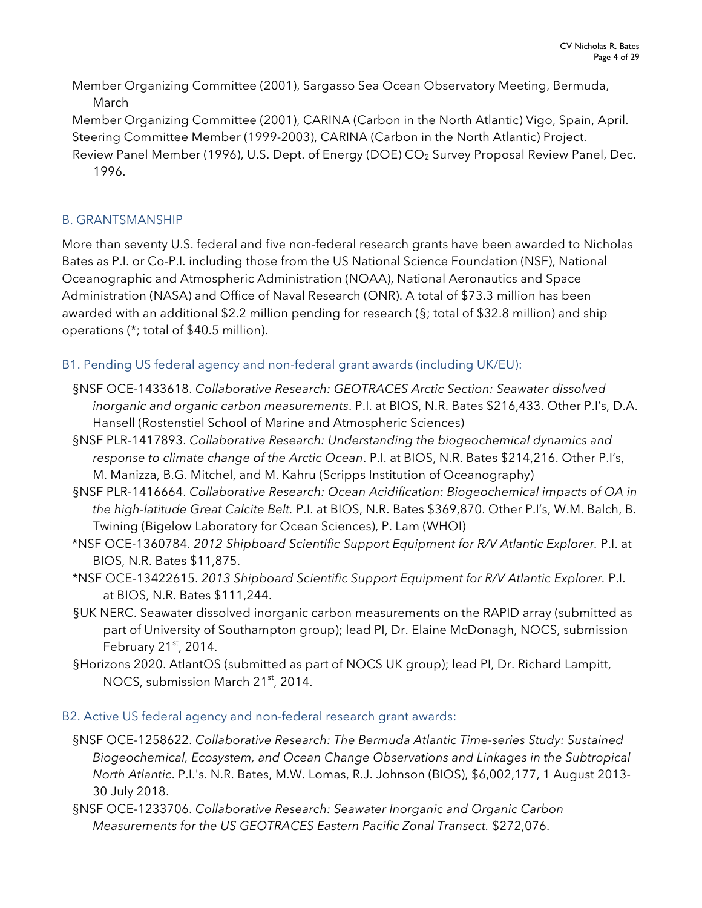Member Organizing Committee (2001), Sargasso Sea Ocean Observatory Meeting, Bermuda, March

Member Organizing Committee (2001), CARINA (Carbon in the North Atlantic) Vigo, Spain, April. Steering Committee Member (1999-2003), CARINA (Carbon in the North Atlantic) Project. Review Panel Member (1996), U.S. Dept. of Energy (DOE) CO<sub>2</sub> Survey Proposal Review Panel, Dec. 1996.

## B. GRANTSMANSHIP

More than seventy U.S. federal and five non-federal research grants have been awarded to Nicholas Bates as P.I. or Co-P.I. including those from the US National Science Foundation (NSF), National Oceanographic and Atmospheric Administration (NOAA), National Aeronautics and Space Administration (NASA) and Office of Naval Research (ONR). A total of \$73.3 million has been awarded with an additional \$2.2 million pending for research (§; total of \$32.8 million) and ship operations (\*; total of \$40.5 million).

## B1. Pending US federal agency and non-federal grant awards (including UK/EU):

- §NSF OCE-1433618. *Collaborative Research: GEOTRACES Arctic Section: Seawater dissolved inorganic and organic carbon measurements*. P.I. at BIOS, N.R. Bates \$216,433. Other P.I's, D.A. Hansell (Rostenstiel School of Marine and Atmospheric Sciences)
- §NSF PLR-1417893. *Collaborative Research: Understanding the biogeochemical dynamics and response to climate change of the Arctic Ocean*. P.I. at BIOS, N.R. Bates \$214,216. Other P.I's, M. Manizza, B.G. Mitchel, and M. Kahru (Scripps Institution of Oceanography)
- §NSF PLR-1416664. *Collaborative Research: Ocean Acidification: Biogeochemical impacts of OA in the high-latitude Great Calcite Belt.* P.I. at BIOS, N.R. Bates \$369,870. Other P.I's, W.M. Balch, B. Twining (Bigelow Laboratory for Ocean Sciences), P. Lam (WHOI)
- \*NSF OCE-1360784. *2012 Shipboard Scientific Support Equipment for R/V Atlantic Explorer.* P.I. at BIOS, N.R. Bates \$11,875.
- \*NSF OCE-13422615. *2013 Shipboard Scientific Support Equipment for R/V Atlantic Explorer.* P.I. at BIOS, N.R. Bates \$111,244.
- §UK NERC. Seawater dissolved inorganic carbon measurements on the RAPID array (submitted as part of University of Southampton group); lead PI, Dr. Elaine McDonagh, NOCS, submission February  $21<sup>st</sup>$ , 2014.
- §Horizons 2020. AtlantOS (submitted as part of NOCS UK group); lead PI, Dr. Richard Lampitt, NOCS, submission March 21<sup>st</sup>, 2014.

## B2. Active US federal agency and non-federal research grant awards:

- §NSF OCE-1258622. *Collaborative Research: The Bermuda Atlantic Time-series Study: Sustained Biogeochemical, Ecosystem, and Ocean Change Observations and Linkages in the Subtropical North Atlantic*. P.I.'s. N.R. Bates, M.W. Lomas, R.J. Johnson (BIOS), \$6,002,177, 1 August 2013- 30 July 2018.
- §NSF OCE-1233706. *Collaborative Research: Seawater Inorganic and Organic Carbon Measurements for the US GEOTRACES Eastern Pacific Zonal Transect.* \$272,076.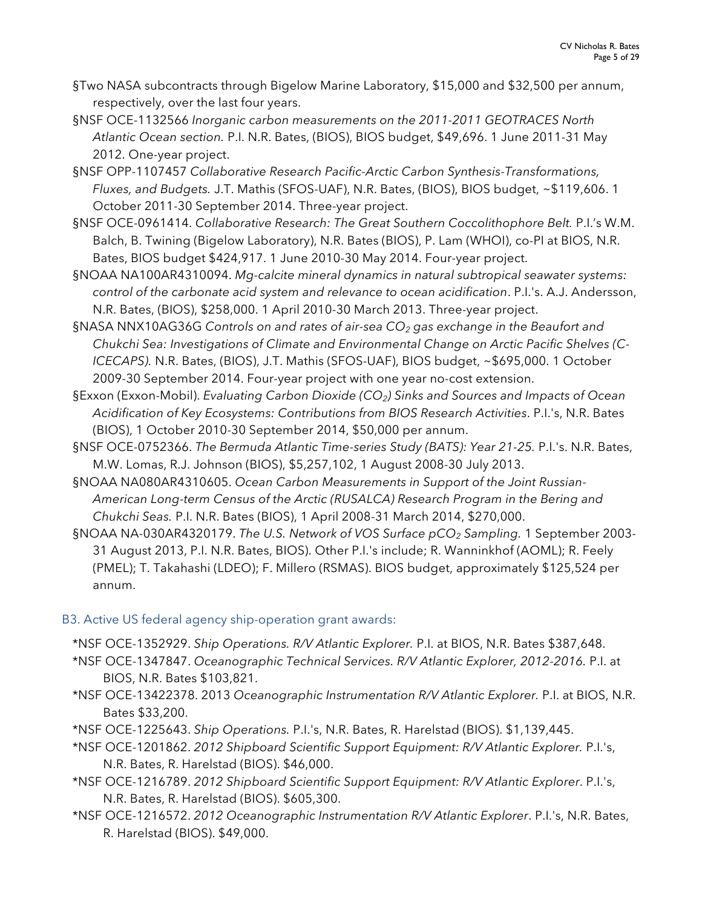- §Two NASA subcontracts through Bigelow Marine Laboratory, \$15,000 and \$32,500 per annum, respectively, over the last four years.
- §NSF OCE-1132566 *Inorganic carbon measurements on the 2011-2011 GEOTRACES North Atlantic Ocean section.* P.I. N.R. Bates, (BIOS), BIOS budget, \$49,696. 1 June 2011-31 May 2012. One-year project.
- §NSF OPP-1107457 *Collaborative Research Pacific-Arctic Carbon Synthesis-Transformations, Fluxes, and Budgets.* J.T. Mathis (SFOS-UAF), N.R. Bates, (BIOS), BIOS budget, ~\$119,606. 1 October 2011-30 September 2014. Three-year project.
- §NSF OCE-0961414. *Collaborative Research: The Great Southern Coccolithophore Belt.* P.I.'s W.M. Balch, B. Twining (Bigelow Laboratory), N.R. Bates (BIOS), P. Lam (WHOI), co-PI at BIOS, N.R. Bates, BIOS budget \$424,917. 1 June 2010-30 May 2014. Four-year project.
- §NOAA NA100AR4310094. *Mg-calcite mineral dynamics in natural subtropical seawater systems: control of the carbonate acid system and relevance to ocean acidification*. P.I.'s. A.J. Andersson, N.R. Bates, (BIOS), \$258,000. 1 April 2010-30 March 2013. Three-year project.
- §NASA NNX10AG36G *Controls on and rates of air-sea CO2 gas exchange in the Beaufort and Chukchi Sea: Investigations of Climate and Environmental Change on Arctic Pacific Shelves (C-ICECAPS).* N.R. Bates, (BIOS), J.T. Mathis (SFOS-UAF), BIOS budget, ~\$695,000. 1 October 2009-30 September 2014. Four-year project with one year no-cost extension.
- §Exxon (Exxon-Mobil). *Evaluating Carbon Dioxide (CO2) Sinks and Sources and Impacts of Ocean Acidification of Key Ecosystems: Contributions from BIOS Research Activities*. P.I.'s, N.R. Bates (BIOS), 1 October 2010-30 September 2014, \$50,000 per annum.
- §NSF OCE-0752366. *The Bermuda Atlantic Time-series Study (BATS): Year 21-25. P.I.'s. N.R. Bates,* M.W. Lomas, R.J. Johnson (BIOS), \$5,257,102, 1 August 2008-30 July 2013.
- §NOAA NA080AR4310605. *Ocean Carbon Measurements in Support of the Joint Russian-American Long-term Census of the Arctic (RUSALCA) Research Program in the Bering and Chukchi Seas.* P.I. N.R. Bates (BIOS), 1 April 2008-31 March 2014, \$270,000.
- §NOAA NA-030AR4320179. *The U.S. Network of VOS Surface pCO2 Sampling.* 1 September 2003- 31 August 2013, P.I. N.R. Bates, BIOS). Other P.I.'s include; R. Wanninkhof (AOML); R. Feely (PMEL); T. Takahashi (LDEO); F. Millero (RSMAS). BIOS budget, approximately \$125,524 per annum.

## B3. Active US federal agency ship-operation grant awards:

- \*NSF OCE-1352929. *Ship Operations. R/V Atlantic Explorer.* P.I. at BIOS, N.R. Bates \$387,648.
- \*NSF OCE-1347847. *Oceanographic Technical Services. R/V Atlantic Explorer, 2012-2016.* P.I. at BIOS, N.R. Bates \$103,821.
- \*NSF OCE-13422378. 2013 *Oceanographic Instrumentation R/V Atlantic Explorer.* P.I. at BIOS, N.R. Bates \$33,200.
- \*NSF OCE-1225643. *Ship Operations.* P.I.'s, N.R. Bates, R. Harelstad (BIOS). \$1,139,445.
- \*NSF OCE-1201862. *2012 Shipboard Scientific Support Equipment: R/V Atlantic Explorer.* P.I.'s, N.R. Bates, R. Harelstad (BIOS). \$46,000.
- \*NSF OCE-1216789. *2012 Shipboard Scientific Support Equipment: R/V Atlantic Explorer*. P.I.'s, N.R. Bates, R. Harelstad (BIOS). \$605,300.
- \*NSF OCE-1216572. *2012 Oceanographic Instrumentation R/V Atlantic Explorer*. P.I.'s, N.R. Bates, R. Harelstad (BIOS). \$49,000.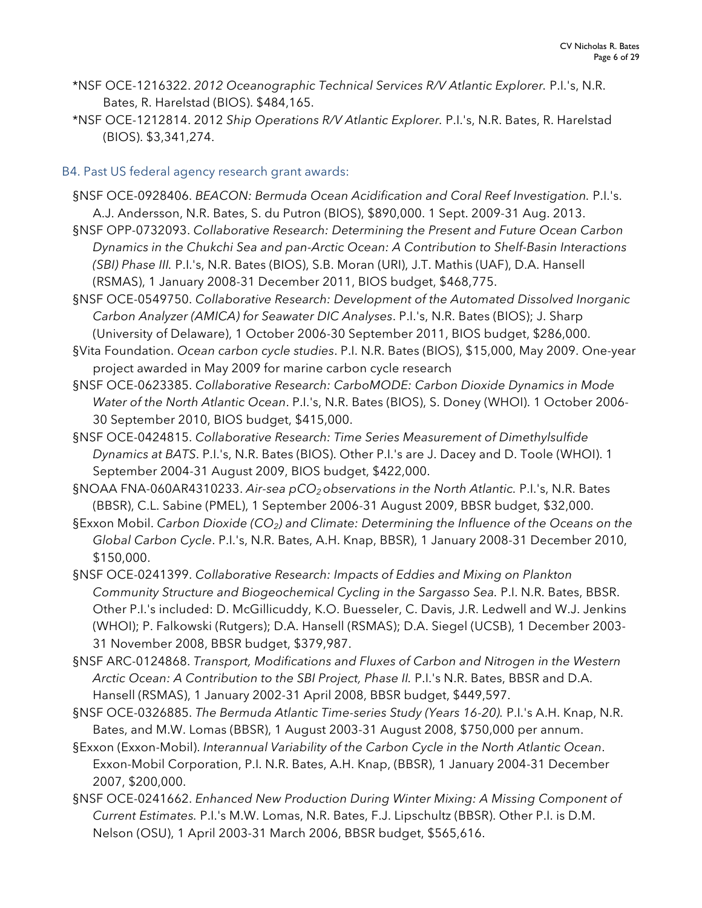- \*NSF OCE-1216322. *2012 Oceanographic Technical Services R/V Atlantic Explorer.* P.I.'s, N.R. Bates, R. Harelstad (BIOS). \$484,165.
- \*NSF OCE-1212814. 2012 *Ship Operations R/V Atlantic Explorer.* P.I.'s, N.R. Bates, R. Harelstad (BIOS). \$3,341,274.
- B4. Past US federal agency research grant awards:
	- §NSF OCE-0928406. *BEACON: Bermuda Ocean Acidification and Coral Reef Investigation.* P.I.'s. A.J. Andersson, N.R. Bates, S. du Putron (BIOS), \$890,000. 1 Sept. 2009-31 Aug. 2013.
	- §NSF OPP-0732093. *Collaborative Research: Determining the Present and Future Ocean Carbon Dynamics in the Chukchi Sea and pan-Arctic Ocean: A Contribution to Shelf-Basin Interactions (SBI) Phase III.* P.I.'s, N.R. Bates (BIOS), S.B. Moran (URI), J.T. Mathis (UAF), D.A. Hansell (RSMAS), 1 January 2008-31 December 2011, BIOS budget, \$468,775.
	- §NSF OCE-0549750. *Collaborative Research: Development of the Automated Dissolved Inorganic Carbon Analyzer (AMICA) for Seawater DIC Analyses*. P.I.'s, N.R. Bates (BIOS); J. Sharp (University of Delaware), 1 October 2006-30 September 2011, BIOS budget, \$286,000.
	- §Vita Foundation. *Ocean carbon cycle studies*. P.I. N.R. Bates (BIOS), \$15,000, May 2009. One-year project awarded in May 2009 for marine carbon cycle research
	- §NSF OCE-0623385. *Collaborative Research: CarboMODE: Carbon Dioxide Dynamics in Mode Water of the North Atlantic Ocean*. P.I.'s, N.R. Bates (BIOS), S. Doney (WHOI). 1 October 2006- 30 September 2010, BIOS budget, \$415,000.
	- §NSF OCE-0424815. *Collaborative Research: Time Series Measurement of Dimethylsulfide Dynamics at BATS*. P.I.'s, N.R. Bates (BIOS). Other P.I.'s are J. Dacey and D. Toole (WHOI). 1 September 2004-31 August 2009, BIOS budget, \$422,000.
	- §NOAA FNA-060AR4310233. Air-sea pCO<sub>2</sub> observations in the North Atlantic. P.I.'s, N.R. Bates (BBSR), C.L. Sabine (PMEL), 1 September 2006-31 August 2009, BBSR budget, \$32,000.
	- §Exxon Mobil. *Carbon Dioxide (CO<sub>2</sub>) and Climate: Determining the Influence of the Oceans on the Global Carbon Cycle*. P.I.'s, N.R. Bates, A.H. Knap, BBSR), 1 January 2008-31 December 2010, \$150,000.
	- §NSF OCE-0241399. *Collaborative Research: Impacts of Eddies and Mixing on Plankton Community Structure and Biogeochemical Cycling in the Sargasso Sea.* P.I. N.R. Bates, BBSR. Other P.I.'s included: D. McGillicuddy, K.O. Buesseler, C. Davis, J.R. Ledwell and W.J. Jenkins (WHOI); P. Falkowski (Rutgers); D.A. Hansell (RSMAS); D.A. Siegel (UCSB), 1 December 2003- 31 November 2008, BBSR budget, \$379,987.
	- §NSF ARC-0124868. *Transport, Modifications and Fluxes of Carbon and Nitrogen in the Western Arctic Ocean: A Contribution to the SBI Project, Phase II.* P.I.'s N.R. Bates, BBSR and D.A. Hansell (RSMAS), 1 January 2002-31 April 2008, BBSR budget, \$449,597.
	- §NSF OCE-0326885. *The Bermuda Atlantic Time-series Study (Years 16-20).* P.I.'s A.H. Knap, N.R. Bates, and M.W. Lomas (BBSR), 1 August 2003-31 August 2008, \$750,000 per annum.
	- §Exxon (Exxon-Mobil). *Interannual Variability of the Carbon Cycle in the North Atlantic Ocean*. Exxon-Mobil Corporation, P.I. N.R. Bates, A.H. Knap, (BBSR), 1 January 2004-31 December 2007, \$200,000.
	- §NSF OCE-0241662. *Enhanced New Production During Winter Mixing: A Missing Component of Current Estimates.* P.I.'s M.W. Lomas, N.R. Bates, F.J. Lipschultz (BBSR). Other P.I. is D.M. Nelson (OSU), 1 April 2003-31 March 2006, BBSR budget, \$565,616.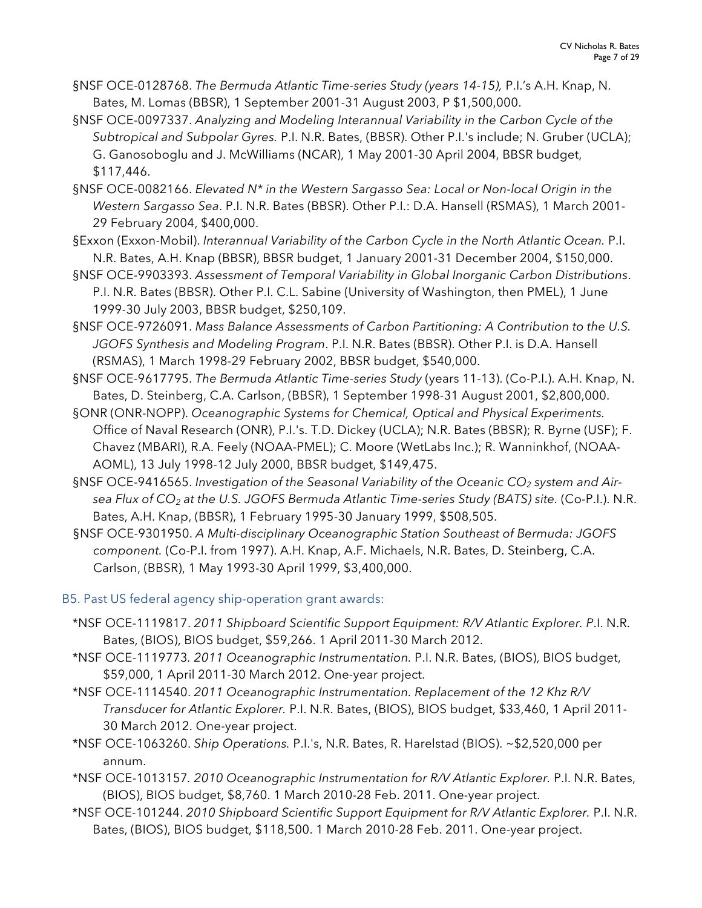- §NSF OCE-0128768. *The Bermuda Atlantic Time-series Study (years 14-15),* P.I.'s A.H. Knap, N. Bates, M. Lomas (BBSR), 1 September 2001-31 August 2003, P \$1,500,000.
- §NSF OCE-0097337. *Analyzing and Modeling Interannual Variability in the Carbon Cycle of the Subtropical and Subpolar Gyres.* P.I. N.R. Bates, (BBSR). Other P.I.'s include; N. Gruber (UCLA); G. Ganosoboglu and J. McWilliams (NCAR), 1 May 2001-30 April 2004, BBSR budget, \$117,446.
- §NSF OCE-0082166. *Elevated N\* in the Western Sargasso Sea: Local or Non-local Origin in the Western Sargasso Sea*. P.I. N.R. Bates (BBSR). Other P.I.: D.A. Hansell (RSMAS), 1 March 2001- 29 February 2004, \$400,000.
- §Exxon (Exxon-Mobil). *Interannual Variability of the Carbon Cycle in the North Atlantic Ocean.* P.I. N.R. Bates, A.H. Knap (BBSR), BBSR budget, 1 January 2001-31 December 2004, \$150,000.
- §NSF OCE-9903393. *Assessment of Temporal Variability in Global Inorganic Carbon Distributions*. P.I. N.R. Bates (BBSR). Other P.I. C.L. Sabine (University of Washington, then PMEL), 1 June 1999-30 July 2003, BBSR budget, \$250,109.
- §NSF OCE-9726091. *Mass Balance Assessments of Carbon Partitioning: A Contribution to the U.S. JGOFS Synthesis and Modeling Program*. P.I. N.R. Bates (BBSR). Other P.I. is D.A. Hansell (RSMAS), 1 March 1998-29 February 2002, BBSR budget, \$540,000.
- §NSF OCE-9617795. *The Bermuda Atlantic Time-series Study* (years 11-13). (Co-P.I.). A.H. Knap, N. Bates, D. Steinberg, C.A. Carlson, (BBSR), 1 September 1998-31 August 2001, \$2,800,000.
- §ONR (ONR-NOPP). *Oceanographic Systems for Chemical, Optical and Physical Experiments.*  Office of Naval Research (ONR), P.I.'s. T.D. Dickey (UCLA); N.R. Bates (BBSR); R. Byrne (USF); F. Chavez (MBARI), R.A. Feely (NOAA-PMEL); C. Moore (WetLabs Inc.); R. Wanninkhof, (NOAA-AOML), 13 July 1998-12 July 2000, BBSR budget, \$149,475.
- §NSF OCE-9416565. Investigation of the Seasonal Variability of the Oceanic CO<sub>2</sub> system and Air*sea Flux of CO2 at the U.S. JGOFS Bermuda Atlantic Time-series Study (BATS) site.* (Co-P.I.). N.R. Bates, A.H. Knap, (BBSR), 1 February 1995-30 January 1999, \$508,505.
- §NSF OCE-9301950. *A Multi-disciplinary Oceanographic Station Southeast of Bermuda: JGOFS component.* (Co-P.I. from 1997). A.H. Knap, A.F. Michaels, N.R. Bates, D. Steinberg, C.A. Carlson, (BBSR), 1 May 1993-30 April 1999, \$3,400,000.
- B5. Past US federal agency ship-operation grant awards:
	- \*NSF OCE-1119817. *2011 Shipboard Scientific Support Equipment: R/V Atlantic Explorer. P*.I. N.R. Bates, (BIOS), BIOS budget, \$59,266. 1 April 2011-30 March 2012.
	- \*NSF OCE-1119773*. 2011 Oceanographic Instrumentation.* P.I. N.R. Bates, (BIOS), BIOS budget, \$59,000, 1 April 2011-30 March 2012. One-year project.
	- \*NSF OCE-1114540. *2011 Oceanographic Instrumentation. Replacement of the 12 Khz R/V Transducer for Atlantic Explorer.* P.I. N.R. Bates, (BIOS), BIOS budget, \$33,460, 1 April 2011- 30 March 2012. One-year project.
	- \*NSF OCE-1063260. *Ship Operations.* P.I.'s, N.R. Bates, R. Harelstad (BIOS). ~\$2,520,000 per annum.
	- \*NSF OCE-1013157*. 2010 Oceanographic Instrumentation for R/V Atlantic Explorer.* P.I. N.R. Bates, (BIOS), BIOS budget, \$8,760. 1 March 2010-28 Feb. 2011. One-year project.
	- \*NSF OCE-101244. *2010 Shipboard Scientific Support Equipment for R/V Atlantic Explorer.* P.I. N.R. Bates, (BIOS), BIOS budget, \$118,500. 1 March 2010-28 Feb. 2011. One-year project.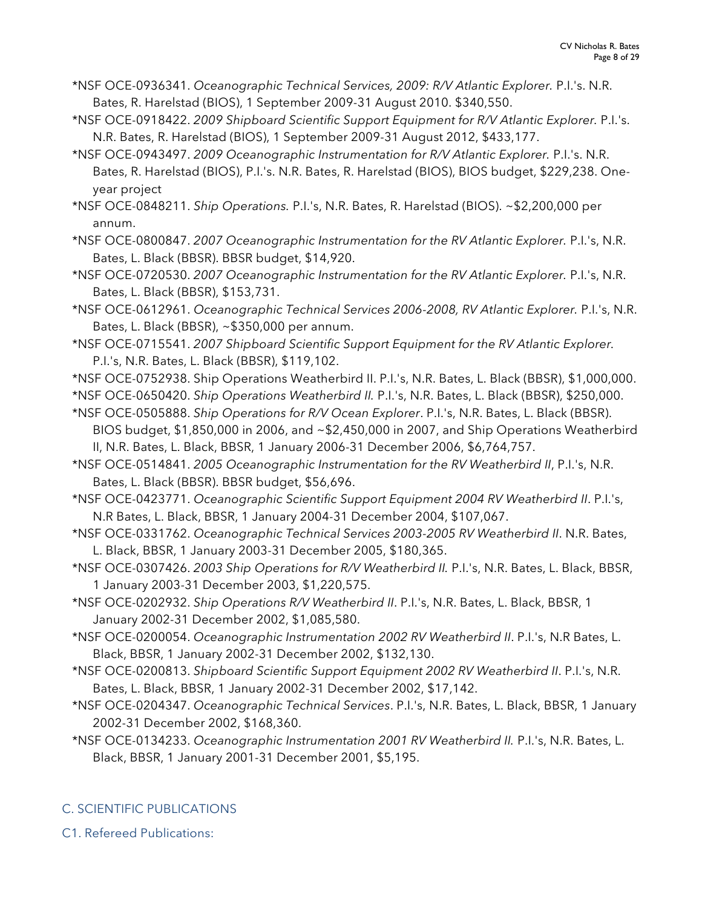- \*NSF OCE-0936341. *Oceanographic Technical Services, 2009: R/V Atlantic Explorer.* P.I.'s. N.R. Bates, R. Harelstad (BIOS), 1 September 2009-31 August 2010. \$340,550.
- \*NSF OCE-0918422. *2009 Shipboard Scientific Support Equipment for R/V Atlantic Explorer.* P.I.'s. N.R. Bates, R. Harelstad (BIOS), 1 September 2009-31 August 2012, \$433,177.
- \*NSF OCE-0943497. *2009 Oceanographic Instrumentation for R/V Atlantic Explorer.* P.I.'s. N.R. Bates, R. Harelstad (BIOS), P.I.'s. N.R. Bates, R. Harelstad (BIOS), BIOS budget, \$229,238. Oneyear project

\*NSF OCE-0848211. *Ship Operations.* P.I.'s, N.R. Bates, R. Harelstad (BIOS). ~\$2,200,000 per annum.

\*NSF OCE-0800847. *2007 Oceanographic Instrumentation for the RV Atlantic Explorer.* P.I.'s, N.R. Bates, L. Black (BBSR). BBSR budget, \$14,920.

\*NSF OCE-0720530. *2007 Oceanographic Instrumentation for the RV Atlantic Explorer.* P.I.'s, N.R. Bates, L. Black (BBSR), \$153,731.

- \*NSF OCE-0612961. *Oceanographic Technical Services 2006-2008, RV Atlantic Explorer.* P.I.'s, N.R. Bates, L. Black (BBSR), ~\$350,000 per annum.
- \*NSF OCE-0715541. *2007 Shipboard Scientific Support Equipment for the RV Atlantic Explorer.* P.I.'s, N.R. Bates, L. Black (BBSR), \$119,102.
- \*NSF OCE-0752938. Ship Operations Weatherbird II. P.I.'s, N.R. Bates, L. Black (BBSR), \$1,000,000.
- \*NSF OCE-0650420. *Ship Operations Weatherbird II.* P.I.'s, N.R. Bates, L. Black (BBSR), \$250,000.
- \*NSF OCE-0505888. *Ship Operations for R/V Ocean Explorer*. P.I.'s, N.R. Bates, L. Black (BBSR). BIOS budget, \$1,850,000 in 2006, and ~\$2,450,000 in 2007, and Ship Operations Weatherbird II, N.R. Bates, L. Black, BBSR, 1 January 2006-31 December 2006, \$6,764,757.
- \*NSF OCE-0514841. *2005 Oceanographic Instrumentation for the RV Weatherbird II*, P.I.'s, N.R. Bates, L. Black (BBSR). BBSR budget, \$56,696.

\*NSF OCE-0423771. *Oceanographic Scientific Support Equipment 2004 RV Weatherbird II*. P.I.'s, N.R Bates, L. Black, BBSR, 1 January 2004-31 December 2004, \$107,067.

- \*NSF OCE-0331762. *Oceanographic Technical Services 2003-2005 RV Weatherbird II*. N.R. Bates, L. Black, BBSR, 1 January 2003-31 December 2005, \$180,365.
- \*NSF OCE-0307426. *2003 Ship Operations for R/V Weatherbird II.* P.I.'s, N.R. Bates, L. Black, BBSR, 1 January 2003-31 December 2003, \$1,220,575.
- \*NSF OCE-0202932. *Ship Operations R/V Weatherbird II*. P.I.'s, N.R. Bates, L. Black, BBSR, 1 January 2002-31 December 2002, \$1,085,580.
- \*NSF OCE-0200054. *Oceanographic Instrumentation 2002 RV Weatherbird II*. P.I.'s, N.R Bates, L. Black, BBSR, 1 January 2002-31 December 2002, \$132,130.
- \*NSF OCE-0200813. *Shipboard Scientific Support Equipment 2002 RV Weatherbird II*. P.I.'s, N.R. Bates, L. Black, BBSR, 1 January 2002-31 December 2002, \$17,142.
- \*NSF OCE-0204347. *Oceanographic Technical Services*. P.I.'s, N.R. Bates, L. Black, BBSR, 1 January 2002-31 December 2002, \$168,360.
- \*NSF OCE-0134233. *Oceanographic Instrumentation 2001 RV Weatherbird II.* P.I.'s, N.R. Bates, L. Black, BBSR, 1 January 2001-31 December 2001, \$5,195.

# C. SCIENTIFIC PUBLICATIONS

C1. Refereed Publications: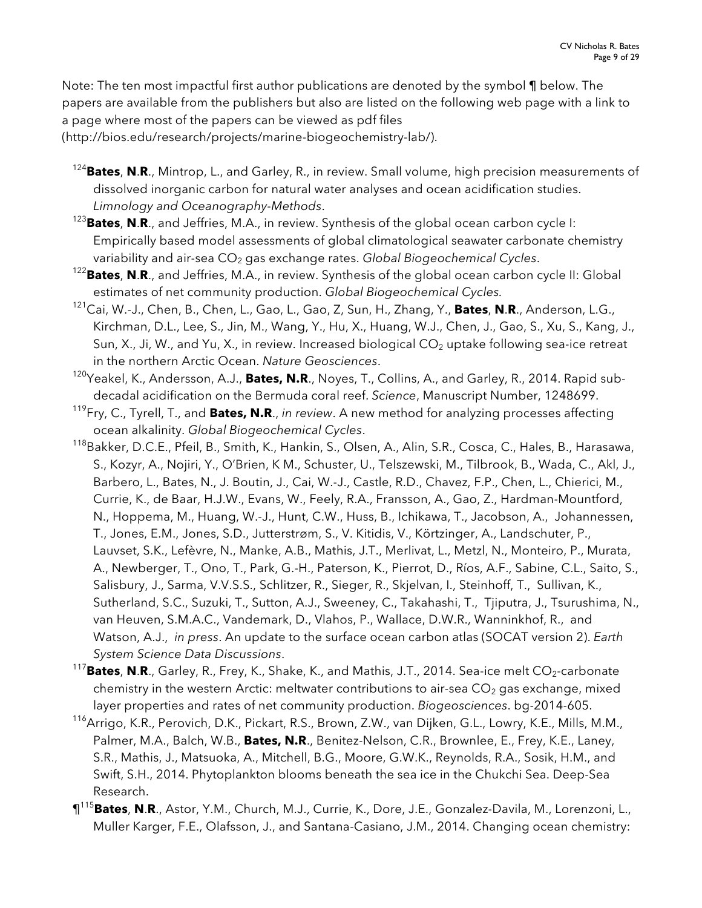Note: The ten most impactful first author publications are denoted by the symbol ¶ below. The papers are available from the publishers but also are listed on the following web page with a link to a page where most of the papers can be viewed as pdf files (http://bios.edu/research/projects/marine-biogeochemistry-lab/).

- <sup>124</sup>**Bates**, **N**.**R**., Mintrop, L., and Garley, R., in review. Small volume, high precision measurements of dissolved inorganic carbon for natural water analyses and ocean acidification studies. *Limnology and Oceanography-Methods*.
- <sup>123</sup>**Bates**, **N**.**R**., and Jeffries, M.A., in review. Synthesis of the global ocean carbon cycle I: Empirically based model assessments of global climatological seawater carbonate chemistry
- variability and air-sea CO<sub>2</sub> gas exchange rates. *Global Biogeochemical Cycles*.<br><sup>122</sup>Bates, N.R., and Jeffries, M.A., in review. Synthesis of the global ocean carbon cycle II: Global estimates of net community production. *Global Biogeochemical Cycles.*
- 121Cai, W.-J., Chen, B., Chen, L., Gao, L., Gao, Z, Sun, H., Zhang, Y., **Bates**, **N**.**R**., Anderson, L.G., Kirchman, D.L., Lee, S., Jin, M., Wang, Y., Hu, X., Huang, W.J., Chen, J., Gao, S., Xu, S., Kang, J., Sun, X., Ji, W., and Yu, X., in review. Increased biological  $CO<sub>2</sub>$  uptake following sea-ice retreat in the northern Arctic Ocean. *Nature Geosciences*.
- 120Yeakel, K., Andersson, A.J., **Bates, N.R**., Noyes, T., Collins, A., and Garley, R., 2014. Rapid subdecadal acidification on the Bermuda coral reef. *Science*, Manuscript Number, 1248699.
- 119Fry, C., Tyrell, T., and **Bates, N.R**., *in review*. A new method for analyzing processes affecting ocean alkalinity. *Global Biogeochemical Cycles*.
- 118 Bakker, D.C.E., Pfeil, B., Smith, K., Hankin, S., Olsen, A., Alin, S.R., Cosca, C., Hales, B., Harasawa, S., Kozyr, A., Nojiri, Y., O'Brien, K M., Schuster, U., Telszewski, M., Tilbrook, B., Wada, C., Akl, J., Barbero, L., Bates, N., J. Boutin, J., Cai, W.-J., Castle, R.D., Chavez, F.P., Chen, L., Chierici, M., Currie, K., de Baar, H.J.W., Evans, W., Feely, R.A., Fransson, A., Gao, Z., Hardman-Mountford, N., Hoppema, M., Huang, W.-J., Hunt, C.W., Huss, B., Ichikawa, T., Jacobson, A., Johannessen, T., Jones, E.M., Jones, S.D., Jutterstrøm, S., V. Kitidis, V., Körtzinger, A., Landschuter, P., Lauvset, S.K., Lefèvre, N., Manke, A.B., Mathis, J.T., Merlivat, L., Metzl, N., Monteiro, P., Murata, A., Newberger, T., Ono, T., Park, G.-H., Paterson, K., Pierrot, D., Ríos, A.F., Sabine, C.L., Saito, S., Salisbury, J., Sarma, V.V.S.S., Schlitzer, R., Sieger, R., Skjelvan, I., Steinhoff, T., Sullivan, K., Sutherland, S.C., Suzuki, T., Sutton, A.J., Sweeney, C., Takahashi, T., Tjiputra, J., Tsurushima, N., van Heuven, S.M.A.C., Vandemark, D., Vlahos, P., Wallace, D.W.R., Wanninkhof, R., and Watson, A.J., *in press*. An update to the surface ocean carbon atlas (SOCAT version 2). *Earth System Science Data Discussions*.
- <sup>117</sup>Bates, N.R., Garley, R., Frey, K., Shake, K., and Mathis, J.T., 2014. Sea-ice melt CO<sub>2</sub>-carbonate chemistry in the western Arctic: meltwater contributions to air-sea  $CO<sub>2</sub>$  gas exchange, mixed layer properties and rates of net community production. *Biogeosciences*. bg-2014-605.
- <sup>116</sup>Arrigo, K.R., Perovich, D.K., Pickart, R.S., Brown, Z.W., van Dijken, G.L., Lowry, K.E., Mills, M.M., Palmer, M.A., Balch, W.B., **Bates, N.R**., Benitez-Nelson, C.R., Brownlee, E., Frey, K.E., Laney, S.R., Mathis, J., Matsuoka, A., Mitchell, B.G., Moore, G.W.K., Reynolds, R.A., Sosik, H.M., and Swift, S.H., 2014. Phytoplankton blooms beneath the sea ice in the Chukchi Sea. Deep-Sea Research.
- ¶<sup>115</sup> **Bates**, **N**.**R**., Astor, Y.M., Church, M.J., Currie, K., Dore, J.E., Gonzalez-Davila, M., Lorenzoni, L., Muller Karger, F.E., Olafsson, J., and Santana-Casiano, J.M., 2014. Changing ocean chemistry: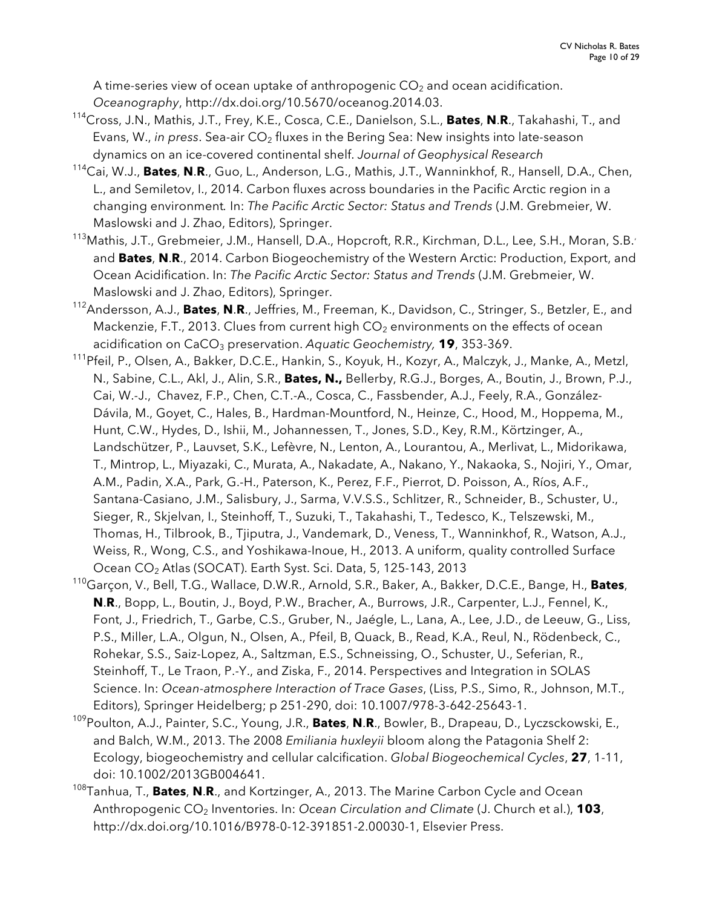A time-series view of ocean uptake of anthropogenic  $CO<sub>2</sub>$  and ocean acidification. *Oceanography*, http://dx.doi.org/10.5670/oceanog.2014.03.

- 114 Cross, J.N., Mathis, J.T., Frey, K.E., Cosca, C.E., Danielson, S.L., **Bates**, **N**.**R**., Takahashi, T., and Evans, W., *in press.* Sea-air CO<sub>2</sub> fluxes in the Bering Sea: New insights into late-season dynamics on an ice-covered continental shelf. *Journal of Geophysical Research*
- 114 Cai, W.J., **Bates**, **N**.**R**., Guo, L., Anderson, L.G., Mathis, J.T., Wanninkhof, R., Hansell, D.A., Chen, L., and Semiletov, I., 2014. Carbon fluxes across boundaries in the Pacific Arctic region in a changing environment*.* In: *The Pacific Arctic Sector: Status and Trends* (J.M. Grebmeier, W. Maslowski and J. Zhao, Editors), Springer.
- <sup>113</sup> Mathis, J.T., Grebmeier, J.M., Hansell, D.A., Hopcroft, R.R., Kirchman, D.L., Lee, S.H., Moran, S.B.' and **Bates**, **N**.**R**., 2014. Carbon Biogeochemistry of the Western Arctic: Production, Export, and Ocean Acidification. In: *The Pacific Arctic Sector: Status and Trends* (J.M. Grebmeier, W. Maslowski and J. Zhao, Editors), Springer.
- 112 Andersson, A.J., **Bates**, **N**.**R**., Jeffries, M., Freeman, K., Davidson, C., Stringer, S., Betzler, E., and Mackenzie, F.T., 2013. Clues from current high  $CO<sub>2</sub>$  environments on the effects of ocean acidification on CaCO<sub>3</sub> preservation. Aquatic Geochemistry, **19**, 353-369.
- <sup>111</sup>Pfeil, P., Olsen, A., Bakker, D.C.E., Hankin, S., Koyuk, H., Kozyr, A., Malczyk, J., Manke, A., Metzl, N., Sabine, C.L., Akl, J., Alin, S.R., **Bates, N.,** Bellerby, R.G.J., Borges, A., Boutin, J., Brown, P.J., Cai, W.-J., Chavez, F.P., Chen, C.T.-A., Cosca, C., Fassbender, A.J., Feely, R.A., González-Dávila, M., Goyet, C., Hales, B., Hardman-Mountford, N., Heinze, C., Hood, M., Hoppema, M., Hunt, C.W., Hydes, D., Ishii, M., Johannessen, T., Jones, S.D., Key, R.M., Körtzinger, A., Landschützer, P., Lauvset, S.K., Lefèvre, N., Lenton, A., Lourantou, A., Merlivat, L., Midorikawa, T., Mintrop, L., Miyazaki, C., Murata, A., Nakadate, A., Nakano, Y., Nakaoka, S., Nojiri, Y., Omar, A.M., Padin, X.A., Park, G.-H., Paterson, K., Perez, F.F., Pierrot, D. Poisson, A., Ríos, A.F., Santana-Casiano, J.M., Salisbury, J., Sarma, V.V.S.S., Schlitzer, R., Schneider, B., Schuster, U., Sieger, R., Skjelvan, I., Steinhoff, T., Suzuki, T., Takahashi, T., Tedesco, K., Telszewski, M., Thomas, H., Tilbrook, B., Tjiputra, J., Vandemark, D., Veness, T., Wanninkhof, R., Watson, A.J., Weiss, R., Wong, C.S., and Yoshikawa-Inoue, H., 2013. A uniform, quality controlled Surface Ocean CO2 Atlas (SOCAT). Earth Syst. Sci. Data, 5, 125-143, 2013
- 110 Garçon, V., Bell, T.G., Wallace, D.W.R., Arnold, S.R., Baker, A., Bakker, D.C.E., Bange, H., **Bates**, **N**.**R**., Bopp, L., Boutin, J., Boyd, P.W., Bracher, A., Burrows, J.R., Carpenter, L.J., Fennel, K., Font, J., Friedrich, T., Garbe, C.S., Gruber, N., Jaégle, L., Lana, A., Lee, J.D., de Leeuw, G., Liss, P.S., Miller, L.A., Olgun, N., Olsen, A., Pfeil, B, Quack, B., Read, K.A., Reul, N., Rödenbeck, C., Rohekar, S.S., Saiz-Lopez, A., Saltzman, E.S., Schneissing, O., Schuster, U., Seferian, R., Steinhoff, T., Le Traon, P.-Y., and Ziska, F., 2014. Perspectives and Integration in SOLAS Science. In: *Ocean-atmosphere Interaction of Trace Gases*, (Liss, P.S., Simo, R., Johnson, M.T., Editors), Springer Heidelberg; p 251-290, doi: 10.1007/978-3-642-25643-1.
- 109Poulton, A.J., Painter, S.C., Young, J.R., **Bates**, **N**.**R**., Bowler, B., Drapeau, D., Lyczsckowski, E., and Balch, W.M., 2013. The 2008 *Emiliania huxleyii* bloom along the Patagonia Shelf 2: Ecology, biogeochemistry and cellular calcification. *Global Biogeochemical Cycles*, **27**, 1-11, doi: 10.1002/2013GB004641.
- 108 Tanhua, T., **Bates**, **N**.**R**., and Kortzinger, A., 2013. The Marine Carbon Cycle and Ocean Anthropogenic CO<sub>2</sub> Inventories. In: *Ocean Circulation and Climate* (J. Church et al.), **103**, http://dx.doi.org/10.1016/B978-0-12-391851-2.00030-1, Elsevier Press.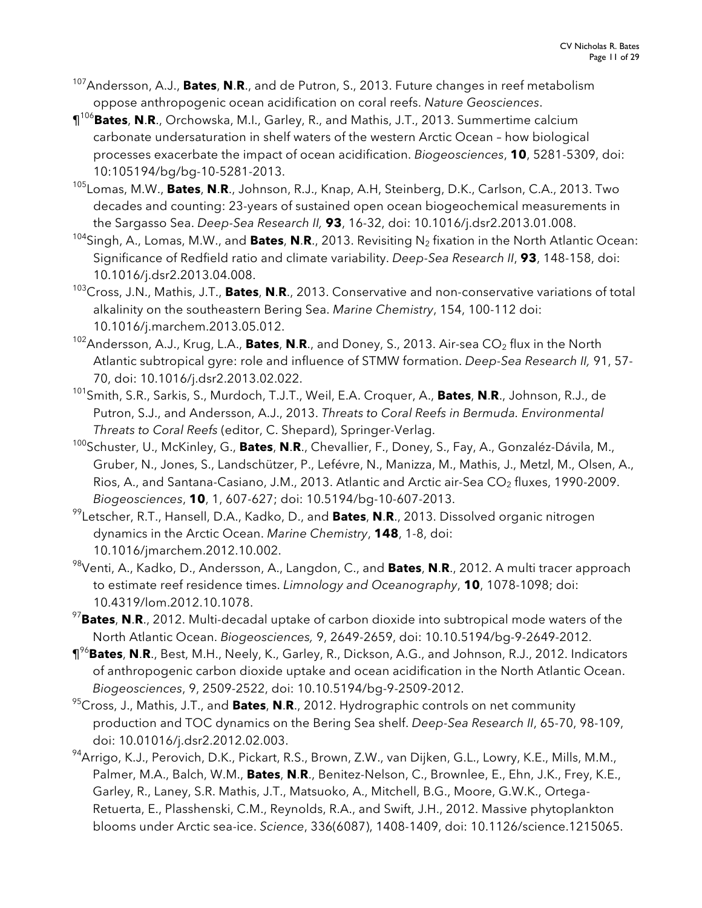- 107 Andersson, A.J., **Bates**, **N**.**R**., and de Putron, S., 2013. Future changes in reef metabolism oppose anthropogenic ocean acidification on coral reefs. *Nature Geosciences*.
- ¶<sup>106</sup> **Bates**, **N**.**R**., Orchowska, M.I., Garley, R., and Mathis, J.T., 2013. Summertime calcium carbonate undersaturation in shelf waters of the western Arctic Ocean – how biological processes exacerbate the impact of ocean acidification. *Biogeosciences*, **10**, 5281-5309, doi: 10:105194/bg/bg-10-5281-2013.
- 105 Lomas, M.W., **Bates**, **N**.**R**., Johnson, R.J., Knap, A.H, Steinberg, D.K., Carlson, C.A., 2013. Two decades and counting: 23-years of sustained open ocean biogeochemical measurements in the Sargasso Sea. *Deep-Sea Research II,* **93**, 16-32, doi: 10.1016/j.dsr2.2013.01.008.
- 104 Singh, A., Lomas, M.W., and **Bates**, **N**.**R**., 2013. Revisiting N2 fixation in the North Atlantic Ocean: Significance of Redfield ratio and climate variability. *Deep-Sea Research II*, **93**, 148-158, doi: 10.1016/j.dsr2.2013.04.008.
- 103 Cross, J.N., Mathis, J.T., **Bates**, **N**.**R**., 2013. Conservative and non-conservative variations of total alkalinity on the southeastern Bering Sea. *Marine Chemistry*, 154, 100-112 doi:
- 10.1016/j.marchem.2013.05.012. 102 Andersson, A.J., Krug, L.A., **Bates**, **N**.**R**., and Doney, S., 2013. Air-sea CO2 flux in the North Atlantic subtropical gyre: role and influence of STMW formation. *Deep-Sea Research II,* 91, 57- 70, doi: 10.1016/j.dsr2.2013.02.022.
- 101Smith, S.R., Sarkis, S., Murdoch, T.J.T., Weil, E.A. Croquer, A., **Bates**, **N**.**R**., Johnson, R.J., de Putron, S.J., and Andersson, A.J., 2013. *Threats to Coral Reefs in Bermuda. Environmental Threats to Coral Reefs* (editor, C. Shepard), Springer-Verlag.
- 100Schuster, U., McKinley, G., **Bates**, **N**.**R**., Chevallier, F., Doney, S., Fay, A., Gonzaléz-Dávila, M., Gruber, N., Jones, S., Landschützer, P., Lefévre, N., Manizza, M., Mathis, J., Metzl, M., Olsen, A., Rios, A., and Santana-Casiano, J.M., 2013. Atlantic and Arctic air-Sea CO<sub>2</sub> fluxes, 1990-2009. *Biogeosciences*, **10**, 1, 607-627; doi: 10.5194/bg-10-607-2013.
- 99 Letscher, R.T., Hansell, D.A., Kadko, D., and **Bates**, **N**.**R**., 2013. Dissolved organic nitrogen dynamics in the Arctic Ocean. *Marine Chemistry*, **148**, 1-8, doi: 10.1016/jmarchem.2012.10.002.
- 98Venti, A., Kadko, D., Andersson, A., Langdon, C., and **Bates**, **N**.**R**., 2012. A multi tracer approach to estimate reef residence times. *Limnology and Oceanography*, **10**, 1078-1098; doi: 10.4319/lom.2012.10.1078.
- <sup>97</sup>**Bates**, **N**.**R**., 2012. Multi-decadal uptake of carbon dioxide into subtropical mode waters of the North Atlantic Ocean. *Biogeosciences,* 9, 2649-2659, doi: 10.10.5194/bg-9-2649-2012.
- ¶<sup>96</sup>**Bates**, **N**.**R**., Best, M.H., Neely, K., Garley, R., Dickson, A.G., and Johnson, R.J., 2012. Indicators of anthropogenic carbon dioxide uptake and ocean acidification in the North Atlantic Ocean. *Biogeosciences*, 9, 2509-2522, doi: 10.10.5194/bg-9-2509-2012.
- 95Cross, J., Mathis, J.T., and **Bates**, **N**.**R**., 2012. Hydrographic controls on net community production and TOC dynamics on the Bering Sea shelf. *Deep-Sea Research II*, 65-70, 98-109, doi: 10.01016/j.dsr2.2012.02.003.
- <sup>94</sup>Arrigo, K.J., Perovich, D.K., Pickart, R.S., Brown, Z.W., van Dijken, G.L., Lowry, K.E., Mills, M.M., Palmer, M.A., Balch, W.M., **Bates**, **N**.**R**., Benitez-Nelson, C., Brownlee, E., Ehn, J.K., Frey, K.E., Garley, R., Laney, S.R. Mathis, J.T., Matsuoko, A., Mitchell, B.G., Moore, G.W.K., Ortega-Retuerta, E., Plasshenski, C.M., Reynolds, R.A., and Swift, J.H., 2012. Massive phytoplankton blooms under Arctic sea-ice. *Science*, 336(6087), 1408-1409, doi: 10.1126/science.1215065.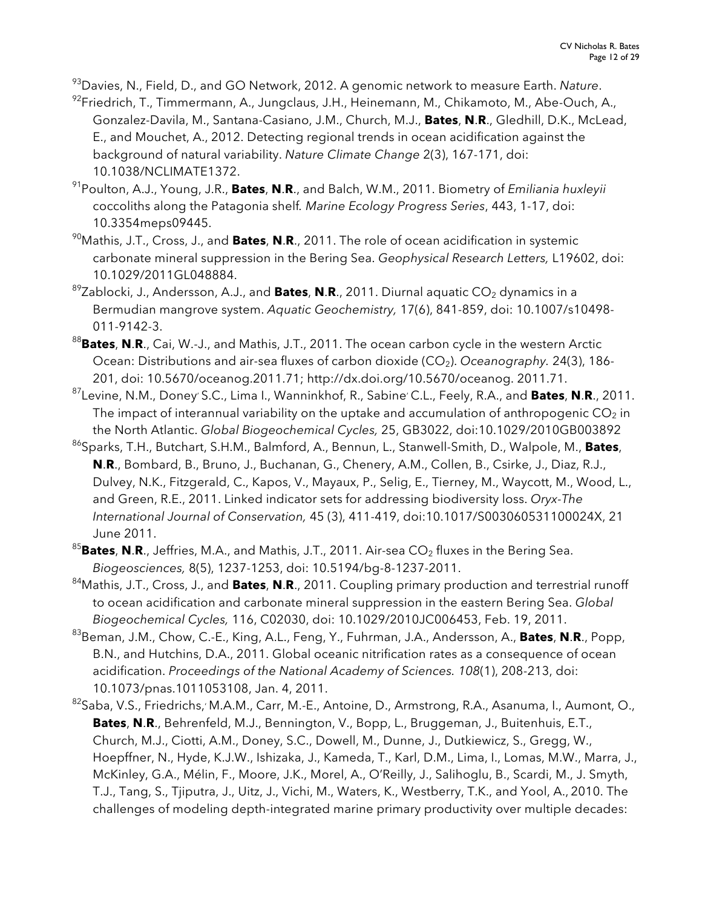93 Davies, N., Field, D., and GO Network, 2012. A genomic network to measure Earth. *Nature*.

<sup>92</sup>Friedrich, T., Timmermann, A., Jungclaus, J.H., Heinemann, M., Chikamoto, M., Abe-Ouch, A., Gonzalez-Davila, M., Santana-Casiano, J.M., Church, M.J., **Bates**, **N**.**R**., Gledhill, D.K., McLead, E., and Mouchet, A., 2012. Detecting regional trends in ocean acidification against the background of natural variability. *Nature Climate Change* 2(3), 167-171, doi: 10.1038/NCLIMATE1372.

91Poulton, A.J., Young, J.R., **Bates**, **N**.**R**., and Balch, W.M., 2011. Biometry of *Emiliania huxleyii* coccoliths along the Patagonia shelf*. Marine Ecology Progress Series*, 443, 1-17, doi: 10.3354meps09445.

90Mathis, J.T., Cross, J., and **Bates**, **N**.**R**., 2011. The role of ocean acidification in systemic carbonate mineral suppression in the Bering Sea. *Geophysical Research Letters,* L19602, doi: 10.1029/2011GL048884.

<sup>89</sup>Zablocki, J., Andersson, A.J., and **Bates, N.R**., 2011. Diurnal aquatic CO<sub>2</sub> dynamics in a Bermudian mangrove system. *Aquatic Geochemistry,* 17(6), 841-859, doi: 10.1007/s10498- 011-9142-3.

<sup>88</sup>**Bates**, **N**.**R**., Cai, W.-J., and Mathis, J.T., 2011. The ocean carbon cycle in the western Arctic Ocean: Distributions and air-sea fluxes of carbon dioxide (CO<sub>2</sub>). *Oceanography*. 24(3), 186-201, doi: 10.5670/oceanog.2011.71; http://dx.doi.org/10.5670/oceanog. 2011.71.

87Levine, N.M., Doney, S.C., Lima I., Wanninkhof, R., Sabine, C.L., Feely, R.A., and **Bates**, **N**.**R**., 2011. The impact of interannual variability on the uptake and accumulation of anthropogenic  $CO<sub>2</sub>$  in the North Atlantic. *Global Biogeochemical Cycles,* 25, GB3022, doi:10.1029/2010GB003892

86Sparks, T.H., Butchart, S.H.M., Balmford, A., Bennun, L., Stanwell-Smith, D., Walpole, M., **Bates**, **N**.**R**., Bombard, B., Bruno, J., Buchanan, G., Chenery, A.M., Collen, B., Csirke, J., Diaz, R.J., Dulvey, N.K., Fitzgerald, C., Kapos, V., Mayaux, P., Selig, E., Tierney, M., Waycott, M., Wood, L., and Green, R.E., 2011. Linked indicator sets for addressing biodiversity loss. *Oryx-The International Journal of Conservation,* 45 (3), 411-419, doi:10.1017/S003060531100024X, 21 June 2011.

<sup>85</sup>Bates, N.R., Jeffries, M.A., and Mathis, J.T., 2011. Air-sea CO<sub>2</sub> fluxes in the Bering Sea. *Biogeosciences,* 8(5), 1237-1253, doi: 10.5194/bg-8-1237-2011.

84Mathis, J.T., Cross, J., and **Bates**, **N**.**R**., 2011. Coupling primary production and terrestrial runoff to ocean acidification and carbonate mineral suppression in the eastern Bering Sea. *Global Biogeochemical Cycles,* 116, C02030, doi: 10.1029/2010JC006453, Feb. 19, 2011.

- 83 Beman, J.M., Chow, C.-E., King, A.L., Feng, Y., Fuhrman, J.A., Andersson, A., **Bates**, **N**.**R**., Popp, B.N., and Hutchins, D.A., 2011. Global oceanic nitrification rates as a consequence of ocean acidification. *Proceedings of the National Academy of Sciences. 108*(1), 208-213, doi: 10.1073/pnas.1011053108, Jan. 4, 2011.
- <sup>82</sup>Saba, V.S., Friedrichs,<sup>,</sup> M.A.M., Carr, M.-E., Antoine, D., Armstrong, R.A., Asanuma, I., Aumont, O., **Bates**, **N**.**R**., Behrenfeld, M.J., Bennington, V., Bopp, L., Bruggeman, J., Buitenhuis, E.T., Church, M.J., Ciotti, A.M., Doney, S.C., Dowell, M., Dunne, J., Dutkiewicz, S., Gregg, W., Hoepffner, N., Hyde, K.J.W., Ishizaka, J., Kameda, T., Karl, D.M., Lima, I., Lomas, M.W., Marra, J., McKinley, G.A., Mélin, F., Moore, J.K., Morel, A., O'Reilly, J., Salihoglu, B., Scardi, M., J. Smyth, T.J., Tang, S., Tjiputra, J., Uitz, J., Vichi, M., Waters, K., Westberry, T.K., and Yool, A., 2010. The challenges of modeling depth-integrated marine primary productivity over multiple decades: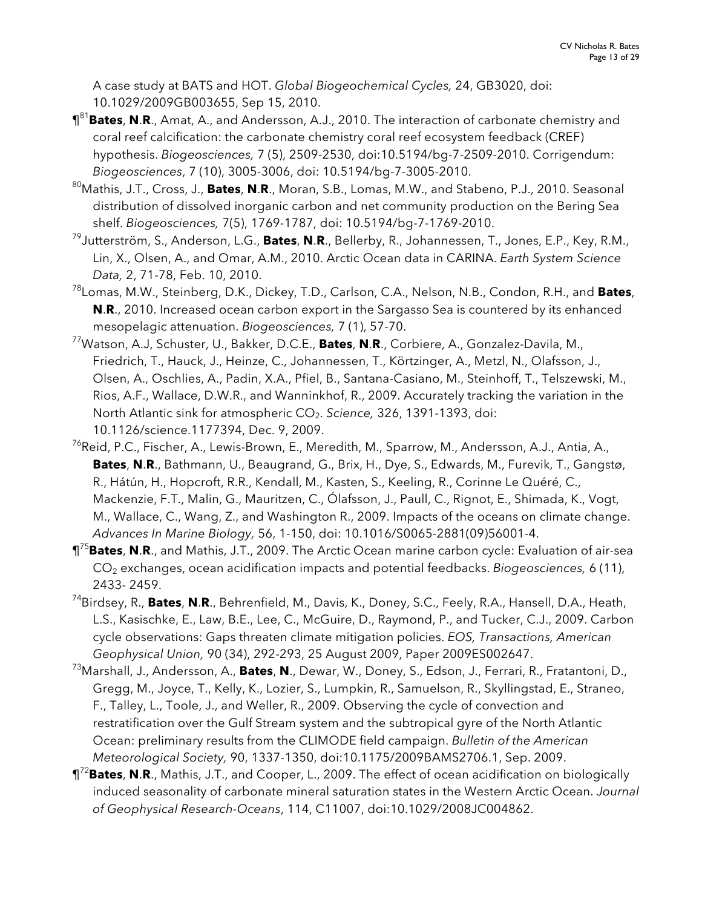A case study at BATS and HOT. *Global Biogeochemical Cycles,* 24, GB3020, doi: 10.1029/2009GB003655, Sep 15, 2010.

- ¶<sup>81</sup>**Bates**, **N**.**R**., Amat, A., and Andersson, A.J., 2010. The interaction of carbonate chemistry and coral reef calcification: the carbonate chemistry coral reef ecosystem feedback (CREF) hypothesis. *Biogeosciences,* 7 (5), 2509-2530, doi:10.5194/bg-7-2509-2010. Corrigendum: *Biogeosciences*, 7 (10), 3005-3006, doi: 10.5194/bg-7-3005-2010.
- 80Mathis, J.T., Cross, J., **Bates**, **N**.**R**., Moran, S.B., Lomas, M.W., and Stabeno, P.J., 2010. Seasonal distribution of dissolved inorganic carbon and net community production on the Bering Sea shelf. *Biogeosciences,* 7(5), 1769-1787, doi: 10.5194/bg-7-1769-2010.
- 79Jutterström, S., Anderson, L.G., **Bates**, **N**.**R**., Bellerby, R., Johannessen, T., Jones, E.P., Key, R.M., Lin, X., Olsen, A., and Omar, A.M., 2010. Arctic Ocean data in CARINA. *Earth System Science Data,* 2, 71-78, Feb. 10, 2010.
- 78Lomas, M.W., Steinberg, D.K., Dickey, T.D., Carlson, C.A., Nelson, N.B., Condon, R.H., and **Bates**, **N**.**R**., 2010. Increased ocean carbon export in the Sargasso Sea is countered by its enhanced mesopelagic attenuation. *Biogeosciences,* 7 (1), 57-70.
- 77Watson, A.J, Schuster, U., Bakker, D.C.E., **Bates**, **N**.**R**., Corbiere, A., Gonzalez-Davila, M., Friedrich, T., Hauck, J., Heinze, C., Johannessen, T., Körtzinger, A., Metzl, N., Olafsson, J., Olsen, A., Oschlies, A., Padin, X.A., Pfiel, B., Santana-Casiano, M., Steinhoff, T., Telszewski, M., Rios, A.F., Wallace, D.W.R., and Wanninkhof, R., 2009. Accurately tracking the variation in the North Atlantic sink for atmospheric CO<sub>2</sub>. Science, 326, 1391-1393, doi: 10.1126/science.1177394, Dec. 9, 2009.
- <sup>76</sup>Reid, P.C., Fischer, A., Lewis-Brown, E., Meredith, M., Sparrow, M., Andersson, A.J., Antia, A., **Bates**, **N**.**R**., Bathmann, U., Beaugrand, G., Brix, H., Dye, S., Edwards, M., Furevik, T., Gangstø, R., Hátún, H., Hopcroft, R.R., Kendall, M., Kasten, S., Keeling, R., Corinne Le Quéré, C., Mackenzie, F.T., Malin, G., Mauritzen, C., Ólafsson, J., Paull, C., Rignot, E., Shimada, K., Vogt, M., Wallace, C., Wang, Z., and Washington R., 2009. Impacts of the oceans on climate change. *Advances In Marine Biology,* 56, 1-150, doi: 10.1016/S0065-2881(09)56001-4.
- ¶<sup>75</sup> **Bates**, **N**.**R**., and Mathis, J.T., 2009. The Arctic Ocean marine carbon cycle: Evaluation of air-sea CO2 exchanges, ocean acidification impacts and potential feedbacks. *Biogeosciences,* 6 (11), 2433- 2459.
- 74 Birdsey, R., **Bates**, **N**.**R**., Behrenfield, M., Davis, K., Doney, S.C., Feely, R.A., Hansell, D.A., Heath, L.S., Kasischke, E., Law, B.E., Lee, C., McGuire, D., Raymond, P., and Tucker, C.J., 2009. Carbon cycle observations: Gaps threaten climate mitigation policies. *EOS, Transactions, American Geophysical Union,* 90 (34), 292-293, 25 August 2009, Paper 2009ES002647.
- 73 Marshall, J., Andersson, A., **Bates**, **N**., Dewar, W., Doney, S., Edson, J., Ferrari, R., Fratantoni, D., Gregg, M., Joyce, T., Kelly, K., Lozier, S., Lumpkin, R., Samuelson, R., Skyllingstad, E., Straneo, F., Talley, L., Toole, J., and Weller, R., 2009. Observing the cycle of convection and restratification over the Gulf Stream system and the subtropical gyre of the North Atlantic Ocean: preliminary results from the CLIMODE field campaign. *Bulletin of the American Meteorological Society,* 90, 1337-1350, doi:10.1175/2009BAMS2706.1, Sep. 2009.
- ¶<sup>72</sup> **Bates**, **N**.**R**., Mathis, J.T., and Cooper, L., 2009. The effect of ocean acidification on biologically induced seasonality of carbonate mineral saturation states in the Western Arctic Ocean. *Journal of Geophysical Research-Oceans*, 114, C11007, doi:10.1029/2008JC004862.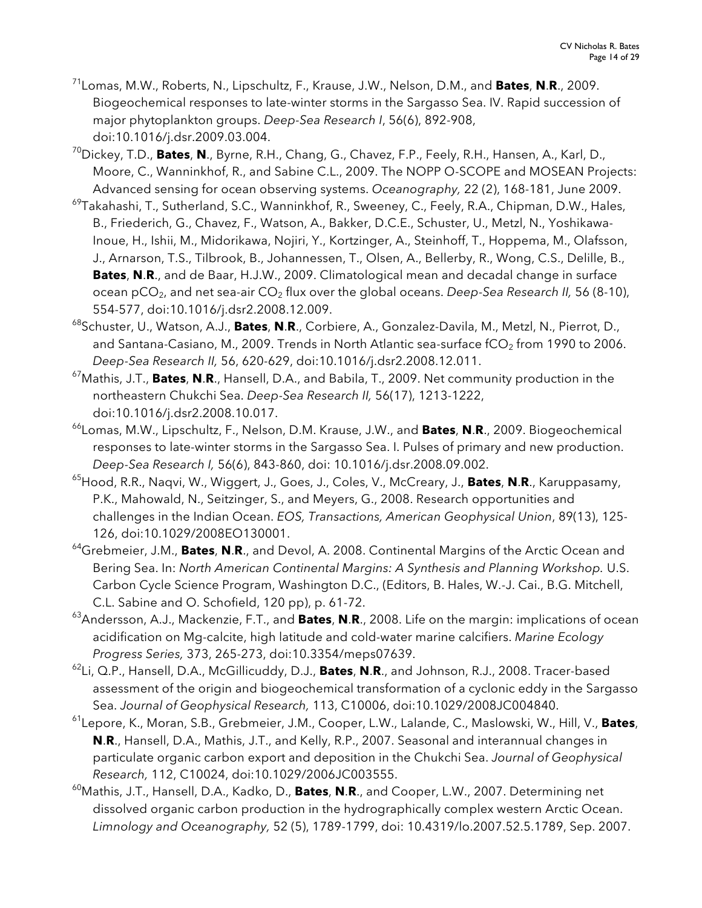- 71 Lomas, M.W., Roberts, N., Lipschultz, F., Krause, J.W., Nelson, D.M., and **Bates**, **N**.**R**., 2009. Biogeochemical responses to late-winter storms in the Sargasso Sea. IV. Rapid succession of major phytoplankton groups. *Deep-Sea Research I*, 56(6), 892-908, doi:10.1016/j.dsr.2009.03.004.
- 70 Dickey, T.D., **Bates**, **N**., Byrne, R.H., Chang, G., Chavez, F.P., Feely, R.H., Hansen, A., Karl, D., Moore, C., Wanninkhof, R., and Sabine C.L., 2009. The NOPP O-SCOPE and MOSEAN Projects: Advanced sensing for ocean observing systems. *Oceanography,* 22 (2), 168-181, June 2009.
- <sup>69</sup>Takahashi, T., Sutherland, S.C., Wanninkhof, R., Sweeney, C., Feely, R.A., Chipman, D.W., Hales, B., Friederich, G., Chavez, F., Watson, A., Bakker, D.C.E., Schuster, U., Metzl, N., Yoshikawa-Inoue, H., Ishii, M., Midorikawa, Nojiri, Y., Kortzinger, A., Steinhoff, T., Hoppema, M., Olafsson, J., Arnarson, T.S., Tilbrook, B., Johannessen, T., Olsen, A., Bellerby, R., Wong, C.S., Delille, B., **Bates**, **N**.**R**., and de Baar, H.J.W., 2009. Climatological mean and decadal change in surface ocean pCO<sub>2</sub>, and net sea-air CO<sub>2</sub> flux over the global oceans. Deep-Sea Research II, 56 (8-10), 554-577, doi:10.1016/j.dsr2.2008.12.009.
- 68Schuster, U., Watson, A.J., **Bates**, **N**.**R**., Corbiere, A., Gonzalez-Davila, M., Metzl, N., Pierrot, D., and Santana-Casiano, M., 2009. Trends in North Atlantic sea-surface  $fCO<sub>2</sub>$  from 1990 to 2006. *Deep-Sea Research II,* 56, 620-629, doi:10.1016/j.dsr2.2008.12.011.
- 67 Mathis, J.T., **Bates**, **N**.**R**., Hansell, D.A., and Babila, T., 2009. Net community production in the northeastern Chukchi Sea. *Deep-Sea Research II,* 56(17), 1213-1222, doi:10.1016/j.dsr2.2008.10.017.
- 66 Lomas, M.W., Lipschultz, F., Nelson, D.M. Krause, J.W., and **Bates**, **N**.**R**., 2009. Biogeochemical responses to late-winter storms in the Sargasso Sea. I. Pulses of primary and new production. *Deep-Sea Research I,* 56(6), 843-860, doi: 10.1016/j.dsr.2008.09.002.
- 65 Hood, R.R., Naqvi, W., Wiggert, J., Goes, J., Coles, V., McCreary, J., **Bates**, **N**.**R**., Karuppasamy, P.K., Mahowald, N., Seitzinger, S., and Meyers, G., 2008. Research opportunities and challenges in the Indian Ocean. *EOS, Transactions, American Geophysical Union*, 89(13), 125- 126, doi:10.1029/2008EO130001.
- 64 Grebmeier, J.M., **Bates**, **N**.**R**., and Devol, A. 2008. Continental Margins of the Arctic Ocean and Bering Sea. In: *North American Continental Margins: A Synthesis and Planning Workshop.* U.S. Carbon Cycle Science Program, Washington D.C., (Editors, B. Hales, W.-J. Cai., B.G. Mitchell, C.L. Sabine and O. Schofield, 120 pp), p. 61-72.
- 63 Andersson, A.J., Mackenzie, F.T., and **Bates**, **N**.**R**., 2008. Life on the margin: implications of ocean acidification on Mg-calcite, high latitude and cold-water marine calcifiers. *Marine Ecology Progress Series,* 373, 265-273, doi:10.3354/meps07639.
- 62 Li, Q.P., Hansell, D.A., McGillicuddy, D.J., **Bates**, **N**.**R**., and Johnson, R.J., 2008. Tracer-based assessment of the origin and biogeochemical transformation of a cyclonic eddy in the Sargasso Sea. *Journal of Geophysical Research,* 113, C10006, doi:10.1029/2008JC004840.
- 61 Lepore, K., Moran, S.B., Grebmeier, J.M., Cooper, L.W., Lalande, C., Maslowski, W., Hill, V., **Bates**, **N**.**R**., Hansell, D.A., Mathis, J.T., and Kelly, R.P., 2007. Seasonal and interannual changes in particulate organic carbon export and deposition in the Chukchi Sea. *Journal of Geophysical Research,* 112, C10024, doi:10.1029/2006JC003555.
- 60 Mathis, J.T., Hansell, D.A., Kadko, D., **Bates**, **N**.**R**., and Cooper, L.W., 2007. Determining net dissolved organic carbon production in the hydrographically complex western Arctic Ocean. *Limnology and Oceanography,* 52 (5), 1789-1799, doi: 10.4319/lo.2007.52.5.1789, Sep. 2007.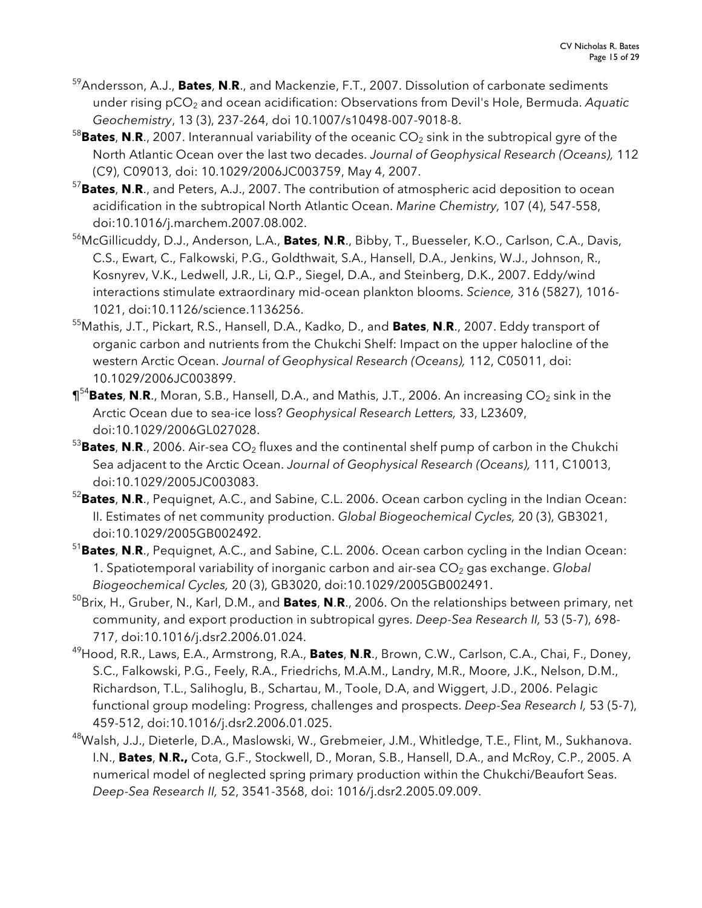- 59Andersson, A.J., **Bates**, **N**.**R**., and Mackenzie, F.T., 2007. Dissolution of carbonate sediments under rising pCO<sub>2</sub> and ocean acidification: Observations from Devil's Hole, Bermuda. *Aquatic Geochemistry*, 13 (3), 237-264, doi 10.1007/s10498-007-9018-8.
- <sup>58</sup>Bates, N.R., 2007. Interannual variability of the oceanic CO<sub>2</sub> sink in the subtropical gyre of the North Atlantic Ocean over the last two decades. *Journal of Geophysical Research (Oceans),* 112 (C9), C09013, doi: 10.1029/2006JC003759, May 4, 2007.
- 57 **Bates**, **N**.**R**., and Peters, A.J., 2007. The contribution of atmospheric acid deposition to ocean acidification in the subtropical North Atlantic Ocean. *Marine Chemistry,* 107 (4), 547-558, doi:10.1016/j.marchem.2007.08.002.
- 56 McGillicuddy, D.J., Anderson, L.A., **Bates**, **N**.**R**., Bibby, T., Buesseler, K.O., Carlson, C.A., Davis, C.S., Ewart, C., Falkowski, P.G., Goldthwait, S.A., Hansell, D.A., Jenkins, W.J., Johnson, R., Kosnyrev, V.K., Ledwell, J.R., Li, Q.P., Siegel, D.A., and Steinberg, D.K., 2007. Eddy/wind interactions stimulate extraordinary mid-ocean plankton blooms. *Science,* 316 (5827), 1016- 1021, doi:10.1126/science.1136256.
- 55 Mathis, J.T., Pickart, R.S., Hansell, D.A., Kadko, D., and **Bates**, **N**.**R**., 2007. Eddy transport of organic carbon and nutrients from the Chukchi Shelf: Impact on the upper halocline of the western Arctic Ocean. *Journal of Geophysical Research (Oceans),* 112, C05011, doi: 10.1029/2006JC003899.
- $\P^{54}$ Bates, N.R., Moran, S.B., Hansell, D.A., and Mathis, J.T., 2006. An increasing CO<sub>2</sub> sink in the Arctic Ocean due to sea-ice loss? *Geophysical Research Letters,* 33, L23609, doi:10.1029/2006GL027028.
- <sup>53</sup>Bates, N.R., 2006. Air-sea CO<sub>2</sub> fluxes and the continental shelf pump of carbon in the Chukchi Sea adjacent to the Arctic Ocean. *Journal of Geophysical Research (Oceans),* 111, C10013, doi:10.1029/2005JC003083.
- 52 **Bates**, **N**.**R**., Pequignet, A.C., and Sabine, C.L. 2006. Ocean carbon cycling in the Indian Ocean: II. Estimates of net community production. *Global Biogeochemical Cycles,* 20 (3), GB3021, doi:10.1029/2005GB002492.
- 51 **Bates**, **N**.**R**., Pequignet, A.C., and Sabine, C.L. 2006. Ocean carbon cycling in the Indian Ocean: 1. Spatiotemporal variability of inorganic carbon and air-sea CO<sub>2</sub> gas exchange. *Global Biogeochemical Cycles,* 20 (3), GB3020, doi:10.1029/2005GB002491.
- 50 Brix, H., Gruber, N., Karl, D.M., and **Bates**, **N**.**R**., 2006. On the relationships between primary, net community, and export production in subtropical gyres. *Deep-Sea Research II,* 53 (5-7), 698- 717, doi:10.1016/j.dsr2.2006.01.024.
- 49Hood, R.R., Laws, E.A., Armstrong, R.A., **Bates**, **N**.**R**., Brown, C.W., Carlson, C.A., Chai, F., Doney, S.C., Falkowski, P.G., Feely, R.A., Friedrichs, M.A.M., Landry, M.R., Moore, J.K., Nelson, D.M., Richardson, T.L., Salihoglu, B., Schartau, M., Toole, D.A, and Wiggert, J.D., 2006. Pelagic functional group modeling: Progress, challenges and prospects. *Deep-Sea Research I,* 53 (5-7), 459-512, doi:10.1016/j.dsr2.2006.01.025.
- 48 Walsh, J.J., Dieterle, D.A., Maslowski, W., Grebmeier, J.M., Whitledge, T.E., Flint, M., Sukhanova. I.N., **Bates**, **N**.**R.,** Cota, G.F., Stockwell, D., Moran, S.B., Hansell, D.A., and McRoy, C.P., 2005. A numerical model of neglected spring primary production within the Chukchi/Beaufort Seas. *Deep-Sea Research II,* 52, 3541-3568, doi: 1016/j.dsr2.2005.09.009.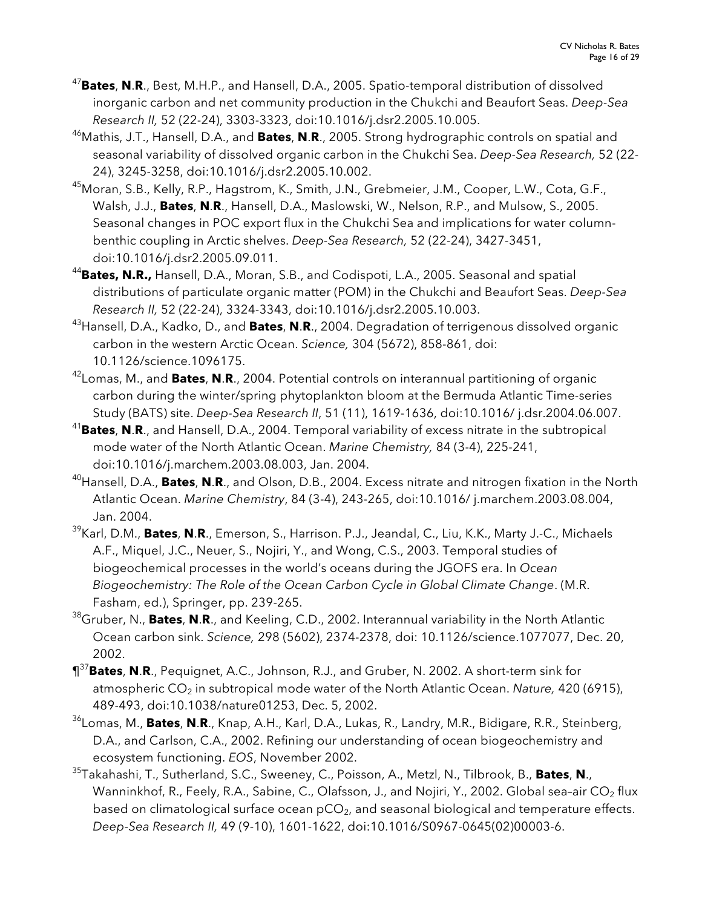- 47 **Bates**, **N**.**R**., Best, M.H.P., and Hansell, D.A., 2005. Spatio-temporal distribution of dissolved inorganic carbon and net community production in the Chukchi and Beaufort Seas. *Deep-Sea Research II,* 52 (22-24), 3303-3323, doi:10.1016/j.dsr2.2005.10.005.
- 46 Mathis, J.T., Hansell, D.A., and **Bates**, **N**.**R**., 2005. Strong hydrographic controls on spatial and seasonal variability of dissolved organic carbon in the Chukchi Sea. *Deep-Sea Research,* 52 (22- 24), 3245-3258, doi:10.1016/j.dsr2.2005.10.002.
- <sup>45</sup>Moran, S.B., Kelly, R.P., Hagstrom, K., Smith, J.N., Grebmeier, J.M., Cooper, L.W., Cota, G.F., Walsh, J.J., **Bates**, **N**.**R**., Hansell, D.A., Maslowski, W., Nelson, R.P., and Mulsow, S., 2005. Seasonal changes in POC export flux in the Chukchi Sea and implications for water columnbenthic coupling in Arctic shelves. *Deep-Sea Research,* 52 (22-24), 3427-3451, doi:10.1016/j.dsr2.2005.09.011.
- <sup>44</sup>Bates, N.R., Hansell, D.A., Moran, S.B., and Codispoti, L.A., 2005. Seasonal and spatial distributions of particulate organic matter (POM) in the Chukchi and Beaufort Seas. *Deep-Sea Research II,* 52 (22-24), 3324-3343, doi:10.1016/j.dsr2.2005.10.003.
- 43 Hansell, D.A., Kadko, D., and **Bates**, **N**.**R**., 2004. Degradation of terrigenous dissolved organic carbon in the western Arctic Ocean. *Science,* 304 (5672), 858-861, doi: 10.1126/science.1096175.
- 42 Lomas, M., and **Bates**, **N**.**R**., 2004. Potential controls on interannual partitioning of organic carbon during the winter/spring phytoplankton bloom at the Bermuda Atlantic Time-series Study (BATS) site. *Deep-Sea Research II*, 51 (11), 1619-1636, doi:10.1016/ j.dsr.2004.06.007.
- 41 **Bates**, **N**.**R**., and Hansell, D.A., 2004. Temporal variability of excess nitrate in the subtropical mode water of the North Atlantic Ocean. *Marine Chemistry,* 84 (3-4), 225-241, doi:10.1016/j.marchem.2003.08.003, Jan. 2004.
- 40 Hansell, D.A., **Bates**, **N**.**R**., and Olson, D.B., 2004. Excess nitrate and nitrogen fixation in the North Atlantic Ocean. *Marine Chemistry*, 84 (3-4), 243-265, doi:10.1016/ j.marchem.2003.08.004, Jan. 2004.
- 39Karl, D.M., **Bates**, **N**.**R**., Emerson, S., Harrison. P.J., Jeandal, C., Liu, K.K., Marty J.-C., Michaels A.F., Miquel, J.C., Neuer, S., Nojiri, Y., and Wong, C.S., 2003. Temporal studies of biogeochemical processes in the world's oceans during the JGOFS era. In *Ocean Biogeochemistry: The Role of the Ocean Carbon Cycle in Global Climate Change*. (M.R. Fasham, ed.), Springer, pp. 239-265.
- 38 Gruber, N., **Bates**, **N**.**R**., and Keeling, C.D., 2002. Interannual variability in the North Atlantic Ocean carbon sink. *Science,* 298 (5602), 2374-2378, doi: 10.1126/science.1077077, Dec. 20, 2002.
- ¶<sup>37</sup> **Bates**, **N**.**R**., Pequignet, A.C., Johnson, R.J., and Gruber, N. 2002. A short-term sink for atmospheric CO<sub>2</sub> in subtropical mode water of the North Atlantic Ocean. *Nature*, 420 (6915), 489-493, doi:10.1038/nature01253, Dec. 5, 2002.
- 36 Lomas, M., **Bates**, **N**.**R**., Knap, A.H., Karl, D.A., Lukas, R., Landry, M.R., Bidigare, R.R., Steinberg, D.A., and Carlson, C.A., 2002. Refining our understanding of ocean biogeochemistry and ecosystem functioning. *EOS*, November 2002.
- 35 Takahashi, T., Sutherland, S.C., Sweeney, C., Poisson, A., Metzl, N., Tilbrook, B., **Bates**, **N**., Wanninkhof, R., Feely, R.A., Sabine, C., Olafsson, J., and Nojiri, Y., 2002. Global sea-air CO<sub>2</sub> flux based on climatological surface ocean  $pCO<sub>2</sub>$ , and seasonal biological and temperature effects. *Deep-Sea Research II,* 49 (9-10), 1601-1622, doi:10.1016/S0967-0645(02)00003-6.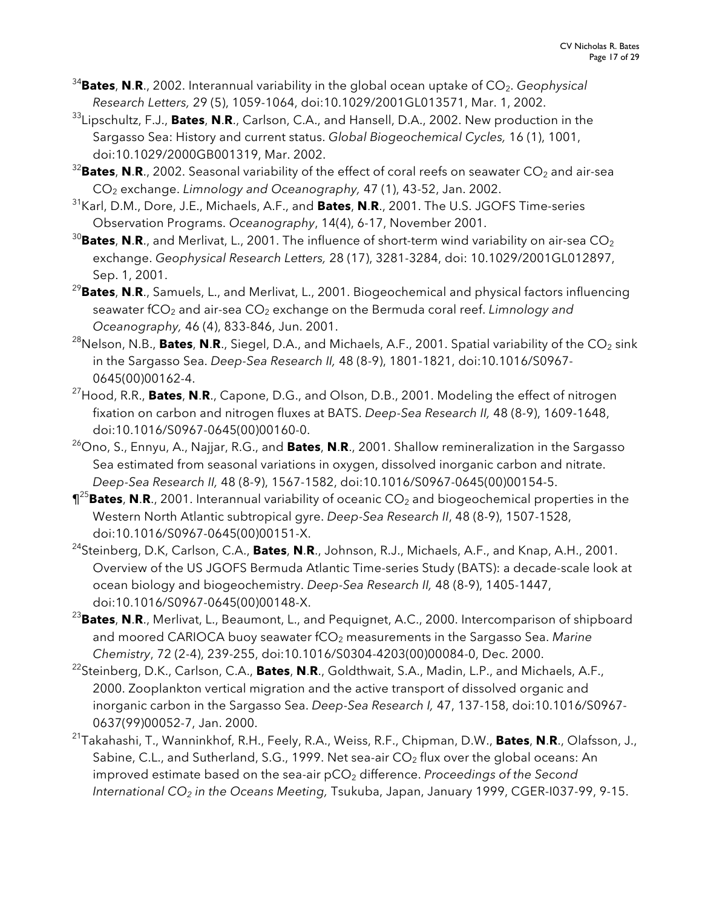- <sup>34</sup>Bates, N.R., 2002. Interannual variability in the global ocean uptake of CO<sub>2</sub>. *Geophysical Research Letters,* 29 (5), 1059-1064, doi:10.1029/2001GL013571, Mar. 1, 2002.
- 33 Lipschultz, F.J., **Bates**, **N**.**R**., Carlson, C.A., and Hansell, D.A., 2002. New production in the Sargasso Sea: History and current status. *Global Biogeochemical Cycles,* 16 (1), 1001, doi:10.1029/2000GB001319, Mar. 2002.
- $^{32}$ Bates, N.R., 2002. Seasonal variability of the effect of coral reefs on seawater CO<sub>2</sub> and air-sea CO2 exchange. *Limnology and Oceanography,* 47 (1), 43-52, Jan. 2002.
- 31 Karl, D.M., Dore, J.E., Michaels, A.F., and **Bates**, **N**.**R**., 2001. The U.S. JGOFS Time-series Observation Programs. *Oceanography*, 14(4), 6-17, November 2001.
- <sup>30</sup>Bates, N.R., and Merlivat, L., 2001. The influence of short-term wind variability on air-sea CO<sub>2</sub> exchange. *Geophysical Research Letters,* 28 (17), 3281-3284, doi: 10.1029/2001GL012897, Sep. 1, 2001.
- <sup>29</sup>**Bates**, **N**.**R**., Samuels, L., and Merlivat, L., 2001. Biogeochemical and physical factors influencing seawater fCO<sub>2</sub> and air-sea CO<sub>2</sub> exchange on the Bermuda coral reef. *Limnology and Oceanography,* 46 (4), 833-846, Jun. 2001.
- <sup>28</sup>Nelson, N.B., **Bates, N.R.**, Siegel, D.A., and Michaels, A.F., 2001. Spatial variability of the CO<sub>2</sub> sink in the Sargasso Sea. *Deep-Sea Research II,* 48 (8-9), 1801-1821, doi:10.1016/S0967- 0645(00)00162-4.
- 27Hood, R.R., **Bates**, **N**.**R**., Capone, D.G., and Olson, D.B., 2001. Modeling the effect of nitrogen fixation on carbon and nitrogen fluxes at BATS. *Deep-Sea Research II,* 48 (8-9), 1609-1648, doi:10.1016/S0967-0645(00)00160-0.
- 26Ono, S., Ennyu, A., Najjar, R.G., and **Bates**, **N**.**R**., 2001. Shallow remineralization in the Sargasso Sea estimated from seasonal variations in oxygen, dissolved inorganic carbon and nitrate. *Deep-Sea Research II,* 48 (8-9), 1567-1582, doi:10.1016/S0967-0645(00)00154-5.
- $\P^{25}$ **Bates, N.R.,** 2001. Interannual variability of oceanic CO<sub>2</sub> and biogeochemical properties in the Western North Atlantic subtropical gyre. *Deep-Sea Research II*, 48 (8-9), 1507-1528, doi:10.1016/S0967-0645(00)00151-X.
- 24Steinberg, D.K, Carlson, C.A., **Bates**, **N**.**R**., Johnson, R.J., Michaels, A.F., and Knap, A.H., 2001. Overview of the US JGOFS Bermuda Atlantic Time-series Study (BATS): a decade-scale look at ocean biology and biogeochemistry. *Deep-Sea Research II,* 48 (8-9), 1405-1447, doi:10.1016/S0967-0645(00)00148-X.
- <sup>23</sup>**Bates**, **N**.**R**., Merlivat, L., Beaumont, L., and Pequignet, A.C., 2000. Intercomparison of shipboard and moored CARIOCA buoy seawater fCO<sub>2</sub> measurements in the Sargasso Sea. Marine *Chemistry*, 72 (2-4), 239-255, doi:10.1016/S0304-4203(00)00084-0, Dec. 2000.
- 22Steinberg, D.K., Carlson, C.A., **Bates**, **N**.**R**., Goldthwait, S.A., Madin, L.P., and Michaels, A.F., 2000. Zooplankton vertical migration and the active transport of dissolved organic and inorganic carbon in the Sargasso Sea. *Deep-Sea Research I,* 47, 137-158, doi:10.1016/S0967- 0637(99)00052-7, Jan. 2000.
- 21Takahashi, T., Wanninkhof, R.H., Feely, R.A., Weiss, R.F., Chipman, D.W., **Bates**, **N**.**R**., Olafsson, J., Sabine, C.L., and Sutherland, S.G., 1999. Net sea-air  $CO<sub>2</sub>$  flux over the global oceans: An improved estimate based on the sea-air pCO<sub>2</sub> difference. *Proceedings of the Second International CO2 in the Oceans Meeting,* Tsukuba, Japan, January 1999, CGER-I037-99, 9-15.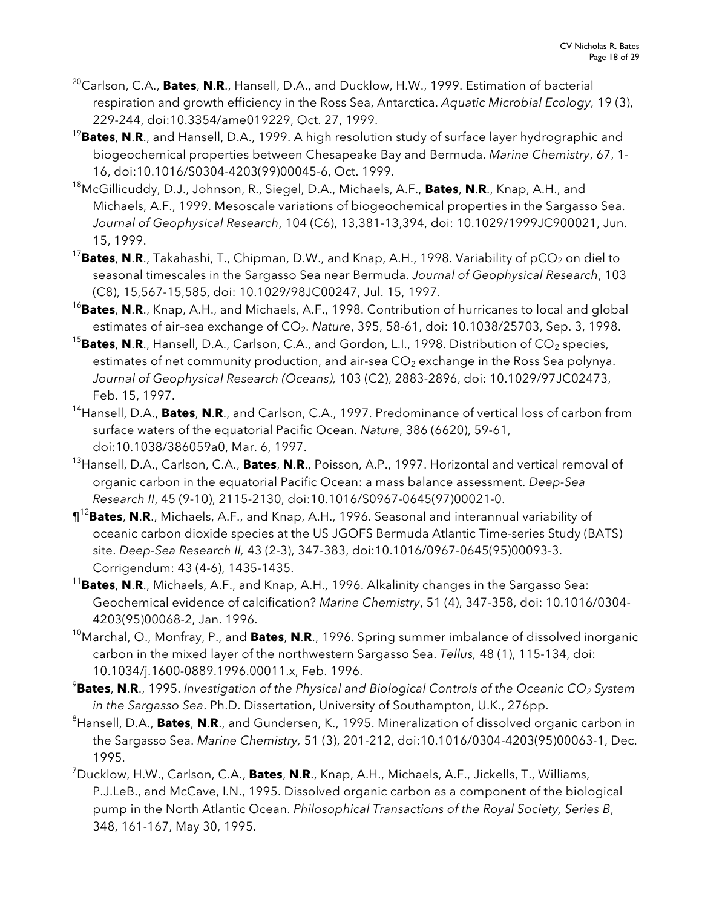- 20Carlson, C.A., **Bates**, **N**.**R**., Hansell, D.A., and Ducklow, H.W., 1999. Estimation of bacterial respiration and growth efficiency in the Ross Sea, Antarctica. *Aquatic Microbial Ecology,* 19 (3), 229-244, doi:10.3354/ame019229, Oct. 27, 1999.
- <sup>19</sup>**Bates**, **N**.**R**., and Hansell, D.A., 1999. A high resolution study of surface layer hydrographic and biogeochemical properties between Chesapeake Bay and Bermuda. *Marine Chemistry*, 67, 1- 16, doi:10.1016/S0304-4203(99)00045-6, Oct. 1999.
- 18McGillicuddy, D.J., Johnson, R., Siegel, D.A., Michaels, A.F., **Bates**, **N**.**R**., Knap, A.H., and Michaels, A.F., 1999. Mesoscale variations of biogeochemical properties in the Sargasso Sea. *Journal of Geophysical Research*, 104 (C6), 13,381-13,394, doi: 10.1029/1999JC900021, Jun. 15, 1999.
- <sup>17</sup>Bates, N.R., Takahashi, T., Chipman, D.W., and Knap, A.H., 1998. Variability of pCO<sub>2</sub> on diel to seasonal timescales in the Sargasso Sea near Bermuda. *Journal of Geophysical Research*, 103 (C8), 15,567-15,585, doi: 10.1029/98JC00247, Jul. 15, 1997.
- <sup>16</sup>**Bates**, **N**.**R**., Knap, A.H., and Michaels, A.F., 1998. Contribution of hurricanes to local and global estimates of air-sea exchange of CO<sub>2</sub>. *Nature*, 395, 58-61, doi: 10.1038/25703, Sep. 3, 1998.
- <sup>15</sup>Bates, N.R., Hansell, D.A., Carlson, C.A., and Gordon, L.I., 1998. Distribution of CO<sub>2</sub> species, estimates of net community production, and air-sea  $CO<sub>2</sub>$  exchange in the Ross Sea polynya. *Journal of Geophysical Research (Oceans),* 103 (C2), 2883-2896, doi: 10.1029/97JC02473, Feb. 15, 1997.
- 14Hansell, D.A., **Bates**, **N**.**R**., and Carlson, C.A., 1997. Predominance of vertical loss of carbon from surface waters of the equatorial Pacific Ocean. *Nature*, 386 (6620), 59-61, doi:10.1038/386059a0, Mar. 6, 1997.
- 13Hansell, D.A., Carlson, C.A., **Bates**, **N**.**R**., Poisson, A.P., 1997. Horizontal and vertical removal of organic carbon in the equatorial Pacific Ocean: a mass balance assessment. *Deep-Sea Research II*, 45 (9-10), 2115-2130, doi:10.1016/S0967-0645(97)00021-0.
- ¶<sup>12</sup>**Bates**, **N**.**R**., Michaels, A.F., and Knap, A.H., 1996. Seasonal and interannual variability of oceanic carbon dioxide species at the US JGOFS Bermuda Atlantic Time-series Study (BATS) site. *Deep-Sea Research II,* 43 (2-3), 347-383, doi:10.1016/0967-0645(95)00093-3. Corrigendum: 43 (4-6), 1435-1435.
- <sup>11</sup>**Bates**, **N**.**R**., Michaels, A.F., and Knap, A.H., 1996. Alkalinity changes in the Sargasso Sea: Geochemical evidence of calcification? *Marine Chemistry*, 51 (4), 347-358, doi: 10.1016/0304- 4203(95)00068-2, Jan. 1996.
- 10Marchal, O., Monfray, P., and **Bates**, **N**.**R**., 1996. Spring summer imbalance of dissolved inorganic carbon in the mixed layer of the northwestern Sargasso Sea. *Tellus,* 48 (1), 115-134, doi: 10.1034/j.1600-0889.1996.00011.x, Feb. 1996.
- 9 **Bates**, **N**.**R**., 1995. *Investigation of the Physical and Biological Controls of the Oceanic CO2 System in the Sargasso Sea*. Ph.D. Dissertation, University of Southampton, U.K., 276pp.
- 8 Hansell, D.A., **Bates**, **N**.**R**., and Gundersen, K., 1995. Mineralization of dissolved organic carbon in the Sargasso Sea. *Marine Chemistry,* 51 (3), 201-212, doi:10.1016/0304-4203(95)00063-1, Dec. 1995.
- 7 Ducklow, H.W., Carlson, C.A., **Bates**, **N**.**R**., Knap, A.H., Michaels, A.F., Jickells, T., Williams, P.J.LeB., and McCave, I.N., 1995. Dissolved organic carbon as a component of the biological pump in the North Atlantic Ocean. *Philosophical Transactions of the Royal Society, Series B*, 348, 161-167, May 30, 1995.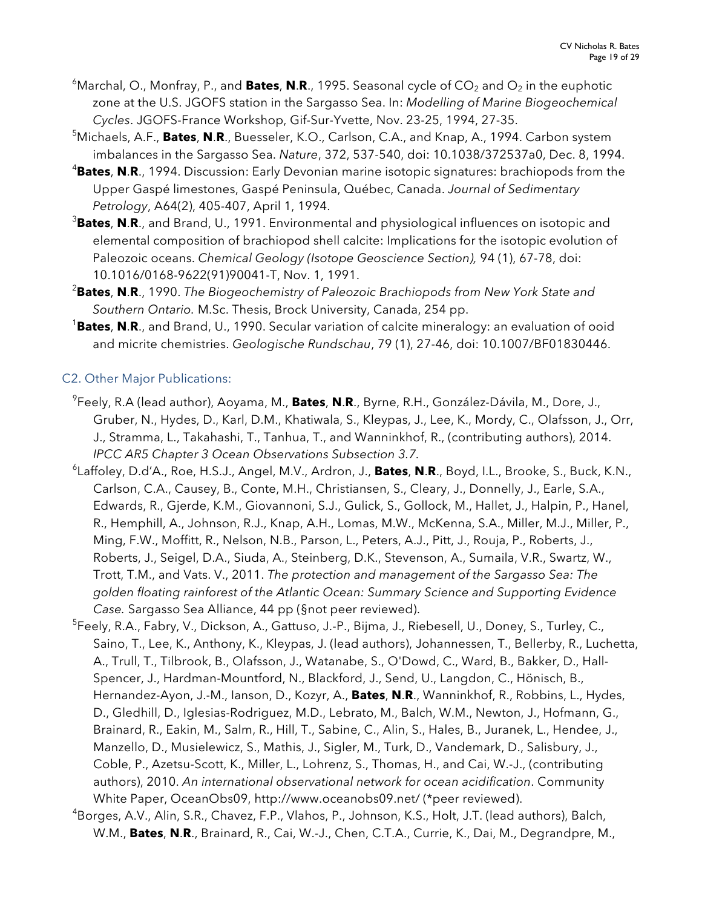- $^6$ Marchal, O., Monfray, P., and **Bates**, **N.R**., 1995. Seasonal cycle of CO<sub>2</sub> and O<sub>2</sub> in the euphotic zone at the U.S. JGOFS station in the Sargasso Sea. In: *Modelling of Marine Biogeochemical Cycles*. JGOFS-France Workshop, Gif-Sur-Yvette, Nov. 23-25, 1994, 27-35.
- 5 Michaels, A.F., **Bates**, **N**.**R**., Buesseler, K.O., Carlson, C.A., and Knap, A., 1994. Carbon system imbalances in the Sargasso Sea. *Nature*, 372, 537-540, doi: 10.1038/372537a0, Dec. 8, 1994.
- 4 **Bates**, **N**.**R**., 1994. Discussion: Early Devonian marine isotopic signatures: brachiopods from the Upper Gaspé limestones, Gaspé Peninsula, Québec, Canada. *Journal of Sedimentary Petrology*, A64(2), 405-407, April 1, 1994.
- 3 **Bates**, **N**.**R**., and Brand, U., 1991. Environmental and physiological influences on isotopic and elemental composition of brachiopod shell calcite: Implications for the isotopic evolution of Paleozoic oceans. *Chemical Geology (Isotope Geoscience Section),* 94 (1), 67-78, doi: 10.1016/0168-9622(91)90041-T, Nov. 1, 1991.
- 2 **Bates**, **N**.**R**., 1990. *The Biogeochemistry of Paleozoic Brachiopods from New York State and Southern Ontario.* M.Sc. Thesis, Brock University, Canada, 254 pp.
- 1 **Bates**, **N**.**R**., and Brand, U., 1990. Secular variation of calcite mineralogy: an evaluation of ooid and micrite chemistries. *Geologische Rundschau*, 79 (1), 27-46, doi: 10.1007/BF01830446.

## C2. Other Major Publications:

- 9 Feely, R.A (lead author), Aoyama, M., **Bates**, **N**.**R**., Byrne, R.H., González-Dávila, M., Dore, J., Gruber, N., Hydes, D., Karl, D.M., Khatiwala, S., Kleypas, J., Lee, K., Mordy, C., Olafsson, J., Orr, J., Stramma, L., Takahashi, T., Tanhua, T., and Wanninkhof, R., (contributing authors), 2014. *IPCC AR5 Chapter 3 Ocean Observations Subsection 3.7.*
- 6 Laffoley, D.d'A., Roe, H.S.J., Angel, M.V., Ardron, J., **Bates**, **N**.**R**., Boyd, I.L., Brooke, S., Buck, K.N., Carlson, C.A., Causey, B., Conte, M.H., Christiansen, S., Cleary, J., Donnelly, J., Earle, S.A., Edwards, R., Gjerde, K.M., Giovannoni, S.J., Gulick, S., Gollock, M., Hallet, J., Halpin, P., Hanel, R., Hemphill, A., Johnson, R.J., Knap, A.H., Lomas, M.W., McKenna, S.A., Miller, M.J., Miller, P., Ming, F.W., Moffitt, R., Nelson, N.B., Parson, L., Peters, A.J., Pitt, J., Rouja, P., Roberts, J., Roberts, J., Seigel, D.A., Siuda, A., Steinberg, D.K., Stevenson, A., Sumaila, V.R., Swartz, W., Trott, T.M., and Vats. V., 2011. *The protection and management of the Sargasso Sea: The golden floating rainforest of the Atlantic Ocean: Summary Science and Supporting Evidence Case.* Sargasso Sea Alliance, 44 pp (§not peer reviewed).
- 5 Feely, R.A., Fabry, V., Dickson, A., Gattuso, J.-P., Bijma, J., Riebesell, U., Doney, S., Turley, C., Saino, T., Lee, K., Anthony, K., Kleypas, J. (lead authors), Johannessen, T., Bellerby, R., Luchetta, A., Trull, T., Tilbrook, B., Olafsson, J., Watanabe, S., O'Dowd, C., Ward, B., Bakker, D., Hall-Spencer, J., Hardman-Mountford, N., Blackford, J., Send, U., Langdon, C., Hönisch, B., Hernandez-Ayon, J.-M., Ianson, D., Kozyr, A., **Bates**, **N**.**R**., Wanninkhof, R., Robbins, L., Hydes, D., Gledhill, D., Iglesias-Rodriguez, M.D., Lebrato, M., Balch, W.M., Newton, J., Hofmann, G., Brainard, R., Eakin, M., Salm, R., Hill, T., Sabine, C., Alin, S., Hales, B., Juranek, L., Hendee, J., Manzello, D., Musielewicz, S., Mathis, J., Sigler, M., Turk, D., Vandemark, D., Salisbury, J., Coble, P., Azetsu-Scott, K., Miller, L., Lohrenz, S., Thomas, H., and Cai, W.-J., (contributing authors), 2010. *An international observational network for ocean acidification*. Community White Paper, OceanObs09, http://www.oceanobs09.net/ (\*peer reviewed).
- 4 Borges, A.V., Alin, S.R., Chavez, F.P., Vlahos, P., Johnson, K.S., Holt, J.T. (lead authors), Balch, W.M., **Bates**, **N**.**R**., Brainard, R., Cai, W.-J., Chen, C.T.A., Currie, K., Dai, M., Degrandpre, M.,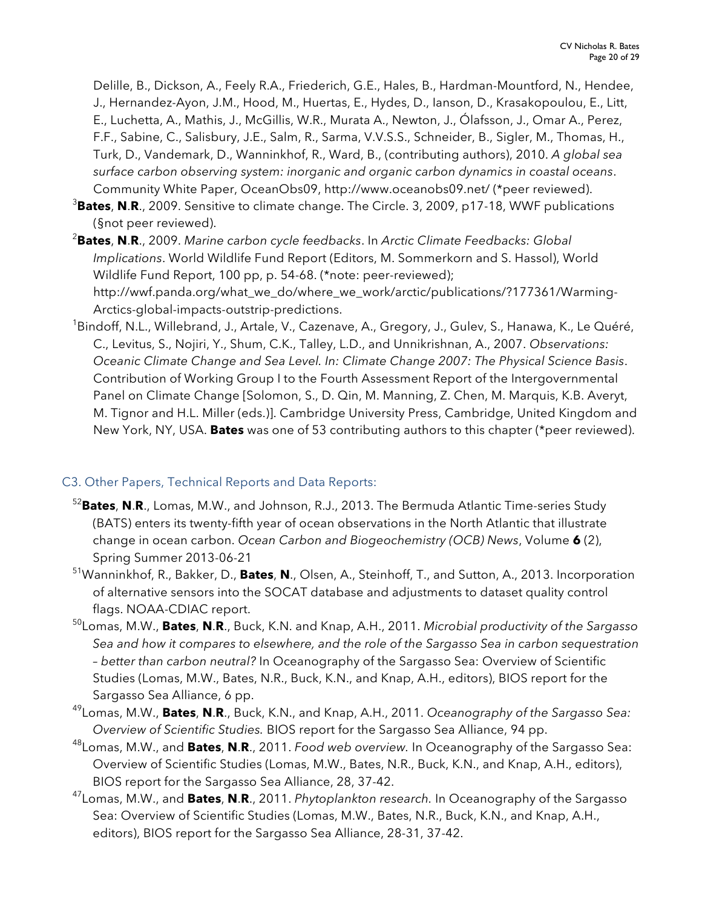Delille, B., Dickson, A., Feely R.A., Friederich, G.E., Hales, B., Hardman-Mountford, N., Hendee, J., Hernandez-Ayon, J.M., Hood, M., Huertas, E., Hydes, D., Ianson, D., Krasakopoulou, E., Litt, E., Luchetta, A., Mathis, J., McGillis, W.R., Murata A., Newton, J., Ólafsson, J., Omar A., Perez, F.F., Sabine, C., Salisbury, J.E., Salm, R., Sarma, V.V.S.S., Schneider, B., Sigler, M., Thomas, H., Turk, D., Vandemark, D., Wanninkhof, R., Ward, B., (contributing authors), 2010. *A global sea surface carbon observing system: inorganic and organic carbon dynamics in coastal oceans*. Community White Paper, OceanObs09, http://www.oceanobs09.net/ (\*peer reviewed).

- 3 **Bates**, **N**.**R**., 2009. Sensitive to climate change. The Circle. 3, 2009, p17-18, WWF publications (§not peer reviewed).
- 2 **Bates**, **N**.**R**., 2009. *Marine carbon cycle feedbacks*. In *Arctic Climate Feedbacks: Global Implications*. World Wildlife Fund Report (Editors, M. Sommerkorn and S. Hassol), World Wildlife Fund Report, 100 pp, p. 54-68. (\*note: peer-reviewed); http://wwf.panda.org/what\_we\_do/where\_we\_work/arctic/publications/?177361/Warming-Arctics-global-impacts-outstrip-predictions.
- <sup>1</sup>Bindoff, N.L., Willebrand, J., Artale, V., Cazenave, A., Gregory, J., Gulev, S., Hanawa, K., Le Quéré, C., Levitus, S., Nojiri, Y., Shum, C.K., Talley, L.D., and Unnikrishnan, A., 2007. *Observations: Oceanic Climate Change and Sea Level. In: Climate Change 2007: The Physical Science Basis*. Contribution of Working Group I to the Fourth Assessment Report of the Intergovernmental Panel on Climate Change [Solomon, S., D. Qin, M. Manning, Z. Chen, M. Marquis, K.B. Averyt, M. Tignor and H.L. Miller (eds.)]. Cambridge University Press, Cambridge, United Kingdom and New York, NY, USA. **Bates** was one of 53 contributing authors to this chapter (\*peer reviewed).

## C3. Other Papers, Technical Reports and Data Reports:

- 52 **Bates**, **N**.**R**., Lomas, M.W., and Johnson, R.J., 2013. The Bermuda Atlantic Time-series Study (BATS) enters its twenty-fifth year of ocean observations in the North Atlantic that illustrate change in ocean carbon. *Ocean Carbon and Biogeochemistry (OCB) News*, Volume **6** (2), Spring Summer 2013-06-21
- 51 Wanninkhof, R., Bakker, D., **Bates**, **N**., Olsen, A., Steinhoff, T., and Sutton, A., 2013. Incorporation of alternative sensors into the SOCAT database and adjustments to dataset quality control flags. NOAA-CDIAC report.
- 50Lomas, M.W., **Bates**, **N**.**R**., Buck, K.N. and Knap, A.H., 2011. *Microbial productivity of the Sargasso Sea and how it compares to elsewhere, and the role of the Sargasso Sea in carbon sequestration – better than carbon neutral?* In Oceanography of the Sargasso Sea: Overview of Scientific Studies (Lomas, M.W., Bates, N.R., Buck, K.N., and Knap, A.H., editors), BIOS report for the Sargasso Sea Alliance, 6 pp.
- 49 Lomas, M.W., **Bates**, **N**.**R**., Buck, K.N., and Knap, A.H., 2011. *Oceanography of the Sargasso Sea: Overview of Scientific Studies.* BIOS report for the Sargasso Sea Alliance, 94 pp.
- 48 Lomas, M.W., and **Bates**, **N**.**R**., 2011. *Food web overview.* In Oceanography of the Sargasso Sea: Overview of Scientific Studies (Lomas, M.W., Bates, N.R., Buck, K.N., and Knap, A.H., editors), BIOS report for the Sargasso Sea Alliance, 28, 37-42.
- 47 Lomas, M.W., and **Bates**, **N**.**R**., 2011. *Phytoplankton research.* In Oceanography of the Sargasso Sea: Overview of Scientific Studies (Lomas, M.W., Bates, N.R., Buck, K.N., and Knap, A.H., editors), BIOS report for the Sargasso Sea Alliance, 28-31, 37-42.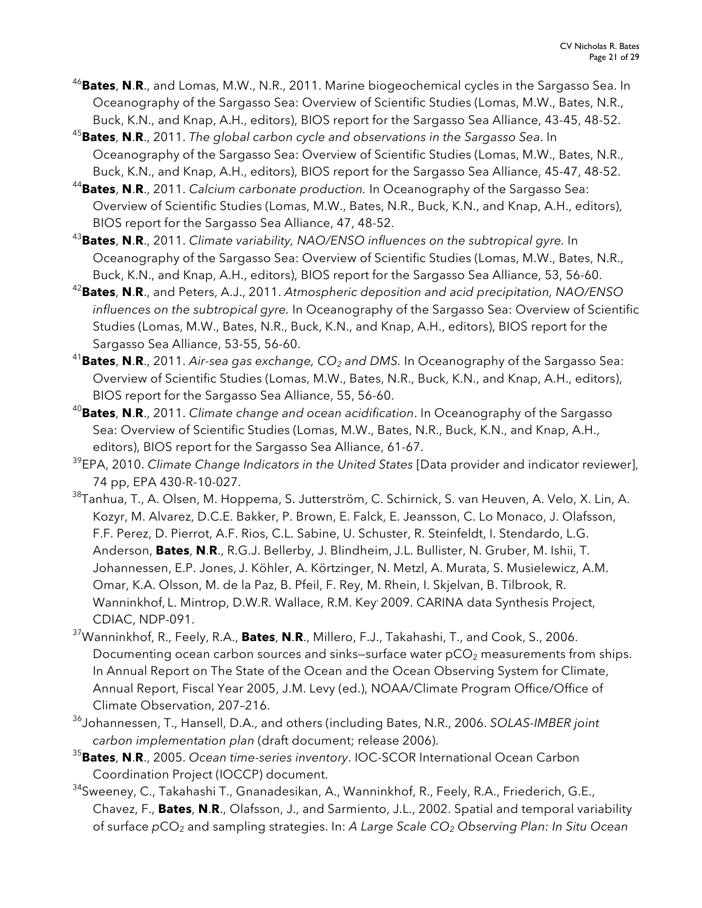- 46 **Bates**, **N**.**R**., and Lomas, M.W., N.R., 2011. Marine biogeochemical cycles in the Sargasso Sea. In Oceanography of the Sargasso Sea: Overview of Scientific Studies (Lomas, M.W., Bates, N.R., Buck, K.N., and Knap, A.H., editors), BIOS report for the Sargasso Sea Alliance, 43-45, 48-52.
- 45 **Bates**, **N**.**R**., 2011. *The global carbon cycle and observations in the Sargasso Sea*. In Oceanography of the Sargasso Sea: Overview of Scientific Studies (Lomas, M.W., Bates, N.R., Buck, K.N., and Knap, A.H., editors), BIOS report for the Sargasso Sea Alliance, 45-47, 48-52.
- 44 **Bates**, **N**.**R**., 2011. *Calcium carbonate production.* In Oceanography of the Sargasso Sea: Overview of Scientific Studies (Lomas, M.W., Bates, N.R., Buck, K.N., and Knap, A.H., editors), BIOS report for the Sargasso Sea Alliance, 47, 48-52.
- 43 **Bates**, **N**.**R**., 2011. *Climate variability, NAO/ENSO influences on the subtropical gyre.* In Oceanography of the Sargasso Sea: Overview of Scientific Studies (Lomas, M.W., Bates, N.R., Buck, K.N., and Knap, A.H., editors), BIOS report for the Sargasso Sea Alliance, 53, 56-60.
- 42 **Bates**, **N**.**R**., and Peters, A.J., 2011. *Atmospheric deposition and acid precipitation, NAO/ENSO influences on the subtropical gyre.* In Oceanography of the Sargasso Sea: Overview of Scientific Studies (Lomas, M.W., Bates, N.R., Buck, K.N., and Knap, A.H., editors), BIOS report for the Sargasso Sea Alliance, 53-55, 56-60.
- <sup>41</sup>Bates, **N.R**., 2011. *Air-sea gas exchange, CO<sub>2</sub> and DMS*. In Oceanography of the Sargasso Sea: Overview of Scientific Studies (Lomas, M.W., Bates, N.R., Buck, K.N., and Knap, A.H., editors), BIOS report for the Sargasso Sea Alliance, 55, 56-60.
- <sup>40</sup>**Bates**, **N**.**R**., 2011. *Climate change and ocean acidification*. In Oceanography of the Sargasso Sea: Overview of Scientific Studies (Lomas, M.W., Bates, N.R., Buck, K.N., and Knap, A.H., editors), BIOS report for the Sargasso Sea Alliance, 61-67.
- <sup>39</sup>EPA, 2010. *Climate Change Indicators in the United States* [Data provider and indicator reviewer], 74 pp, EPA 430-R-10-027.
- <sup>38</sup>Tanhua, T., A. Olsen, M. Hoppema, S. Jutterström, C. Schirnick, S. van Heuven, A. Velo, X. Lin, A. Kozyr, M. Alvarez, D.C.E. Bakker, P. Brown, E. Falck, E. Jeansson, C. Lo Monaco, J. Olafsson, F.F. Perez, D. Pierrot, A.F. Rios, C.L. Sabine, U. Schuster, R. Steinfeldt, I. Stendardo, L.G. Anderson, **Bates**, **N**.**R**., R.G.J. Bellerby, J. Blindheim, J.L. Bullister, N. Gruber, M. Ishii, T. Johannessen, E.P. Jones, J. Köhler, A. Körtzinger, N. Metzl, A. Murata, S. Musielewicz, A.M. Omar, K.A. Olsson, M. de la Paz, B. Pfeil, F. Rey, M. Rhein, I. Skjelvan, B. Tilbrook, R. Wanninkhof, L. Mintrop, D.W.R. Wallace, R.M. Key, 2009. CARINA data Synthesis Project, CDIAC, NDP-091.
- 37 Wanninkhof, R., Feely, R.A., **Bates**, **N**.**R**., Millero, F.J., Takahashi, T., and Cook, S., 2006. Documenting ocean carbon sources and sinks–surface water  $pCO<sub>2</sub>$  measurements from ships. In Annual Report on The State of the Ocean and the Ocean Observing System for Climate, Annual Report, Fiscal Year 2005, J.M. Levy (ed.), NOAA/Climate Program Office/Office of Climate Observation, 207–216.
- 36 Johannessen, T., Hansell, D.A., and others (including Bates, N.R., 2006. *SOLAS-IMBER joint carbon implementation plan* (draft document; release 2006).
- 35 **Bates**, **N**.**R**., 2005. *Ocean time-series inventory*. IOC-SCOR International Ocean Carbon Coordination Project (IOCCP) document.
- 34Sweeney, C., Takahashi T., Gnanadesikan, A., Wanninkhof, R., Feely, R.A., Friederich, G.E., Chavez, F., **Bates**, **N**.**R**., Olafsson, J., and Sarmiento, J.L., 2002. Spatial and temporal variability of surface *pCO<sub>2</sub>* and sampling strategies. In: *A Large Scale CO<sub>2</sub> Observing Plan: In Situ Ocean*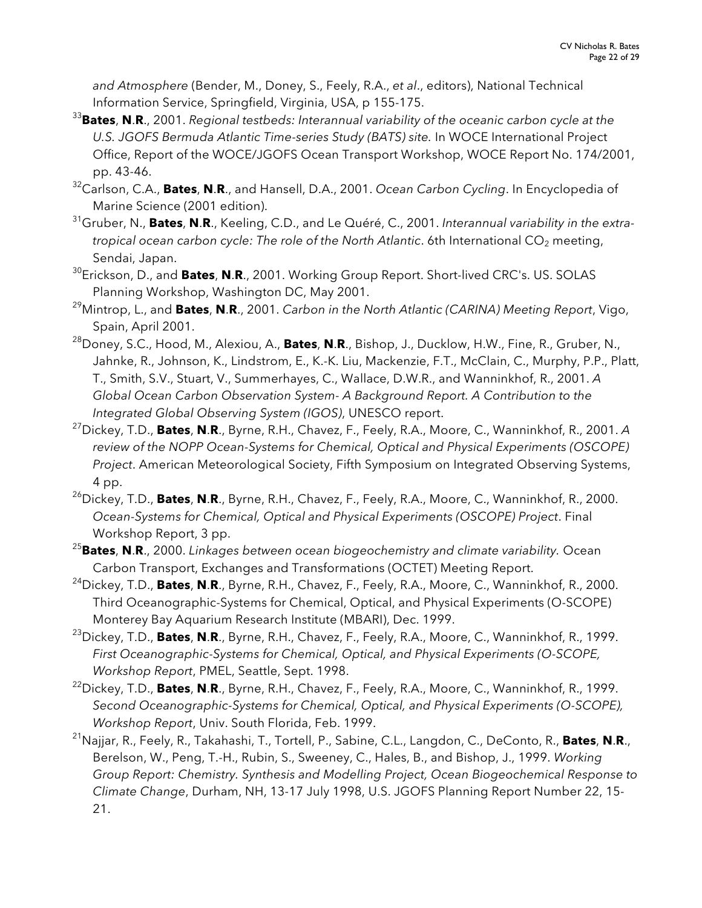*and Atmosphere* (Bender, M., Doney, S., Feely, R.A., *et al*., editors), National Technical Information Service, Springfield, Virginia, USA, p 155-175.

- 33 **Bates**, **N**.**R**., 2001. *Regional testbeds: Interannual variability of the oceanic carbon cycle at the U.S. JGOFS Bermuda Atlantic Time-series Study (BATS) site.* In WOCE International Project Office, Report of the WOCE/JGOFS Ocean Transport Workshop, WOCE Report No. 174/2001, pp. 43-46.
- 32 Carlson, C.A., **Bates**, **N**.**R**., and Hansell, D.A., 2001. *Ocean Carbon Cycling*. In Encyclopedia of Marine Science (2001 edition).
- 31Gruber, N., **Bates**, **N**.**R**., Keeling, C.D., and Le Quéré, C., 2001. *Interannual variability in the extratropical ocean carbon cycle: The role of the North Atlantic. 6th International CO<sub>2</sub> meeting,* Sendai, Japan.
- 30Erickson, D., and **Bates**, **N**.**R**., 2001. Working Group Report. Short-lived CRC's. US. SOLAS Planning Workshop, Washington DC, May 2001.
- 29Mintrop, L., and **Bates**, **N**.**R**., 2001. *Carbon in the North Atlantic (CARINA) Meeting Report*, Vigo, Spain, April 2001.
- 28Doney, S.C., Hood, M., Alexiou, A., **Bates**, **N**.**R**., Bishop, J., Ducklow, H.W., Fine, R., Gruber, N., Jahnke, R., Johnson, K., Lindstrom, E., K.-K. Liu, Mackenzie, F.T., McClain, C., Murphy, P.P., Platt, T., Smith, S.V., Stuart, V., Summerhayes, C., Wallace, D.W.R., and Wanninkhof, R., 2001. *A Global Ocean Carbon Observation System- A Background Report. A Contribution to the Integrated Global Observing System (IGOS)*, UNESCO report.
- 27Dickey, T.D., **Bates**, **N**.**R**., Byrne, R.H., Chavez, F., Feely, R.A., Moore, C., Wanninkhof, R., 2001. *A review of the NOPP Ocean-Systems for Chemical, Optical and Physical Experiments (OSCOPE) Project*. American Meteorological Society, Fifth Symposium on Integrated Observing Systems, 4 pp.
- 26Dickey, T.D., **Bates**, **N**.**R**., Byrne, R.H., Chavez, F., Feely, R.A., Moore, C., Wanninkhof, R., 2000. *Ocean-Systems for Chemical, Optical and Physical Experiments (OSCOPE) Project*. Final Workshop Report, 3 pp.
- <sup>25</sup>**Bates**, **N**.**R**., 2000. *Linkages between ocean biogeochemistry and climate variability.* Ocean Carbon Transport, Exchanges and Transformations (OCTET) Meeting Report.
- 24Dickey, T.D., **Bates**, **N**.**R**., Byrne, R.H., Chavez, F., Feely, R.A., Moore, C., Wanninkhof, R., 2000. Third Oceanographic-Systems for Chemical, Optical, and Physical Experiments (O-SCOPE) Monterey Bay Aquarium Research Institute (MBARI), Dec. 1999.
- 23Dickey, T.D., **Bates**, **N**.**R**., Byrne, R.H., Chavez, F., Feely, R.A., Moore, C., Wanninkhof, R., 1999. *First Oceanographic-Systems for Chemical, Optical, and Physical Experiments (O-SCOPE, Workshop Report*, PMEL, Seattle, Sept. 1998.
- 22Dickey, T.D., **Bates**, **N**.**R**., Byrne, R.H., Chavez, F., Feely, R.A., Moore, C., Wanninkhof, R., 1999. *Second Oceanographic-Systems for Chemical, Optical, and Physical Experiments (O-SCOPE), Workshop Report*, Univ. South Florida, Feb. 1999.
- 21Najjar, R., Feely, R., Takahashi, T., Tortell, P., Sabine, C.L., Langdon, C., DeConto, R., **Bates**, **N**.**R**., Berelson, W., Peng, T.-H., Rubin, S., Sweeney, C., Hales, B., and Bishop, J., 1999. *Working Group Report: Chemistry. Synthesis and Modelling Project, Ocean Biogeochemical Response to Climate Change*, Durham, NH, 13-17 July 1998, U.S. JGOFS Planning Report Number 22, 15- 21.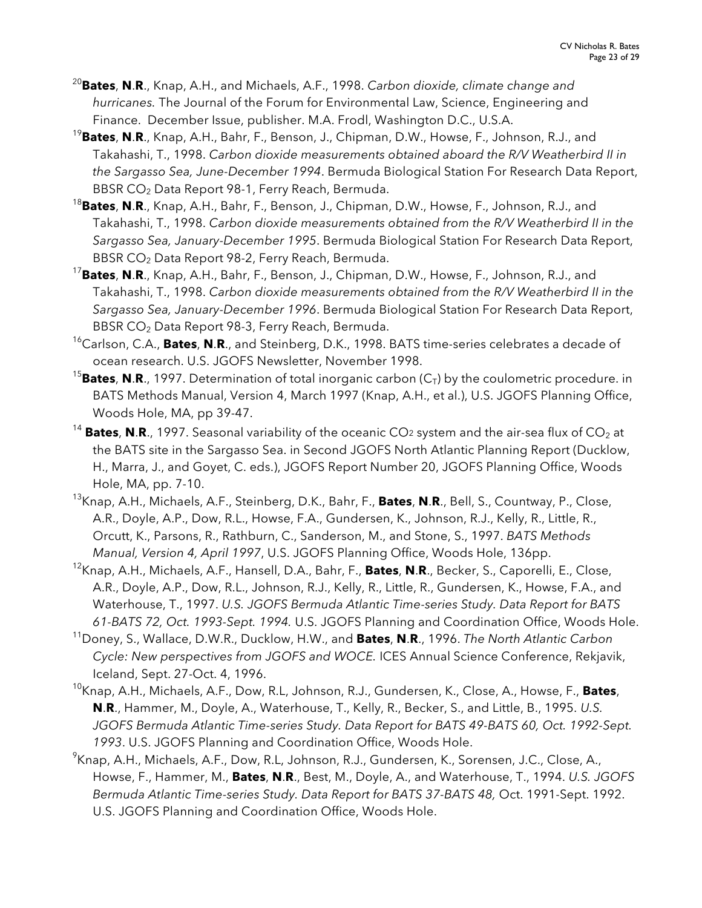- <sup>20</sup>**Bates**, **N**.**R**., Knap, A.H., and Michaels, A.F., 1998. *Carbon dioxide, climate change and hurricanes.* The Journal of the Forum for Environmental Law, Science, Engineering and Finance. December Issue, publisher. M.A. Frodl, Washington D.C., U.S.A.
- <sup>19</sup>**Bates**, **N**.**R**., Knap, A.H., Bahr, F., Benson, J., Chipman, D.W., Howse, F., Johnson, R.J., and Takahashi, T., 1998. *Carbon dioxide measurements obtained aboard the R/V Weatherbird II in the Sargasso Sea, June-December 1994*. Bermuda Biological Station For Research Data Report, BBSR CO2 Data Report 98-1, Ferry Reach, Bermuda.
- <sup>18</sup>**Bates**, **N**.**R**., Knap, A.H., Bahr, F., Benson, J., Chipman, D.W., Howse, F., Johnson, R.J., and Takahashi, T., 1998. *Carbon dioxide measurements obtained from the R/V Weatherbird II in the Sargasso Sea, January-December 1995*. Bermuda Biological Station For Research Data Report, BBSR CO<sub>2</sub> Data Report 98-2, Ferry Reach, Bermuda.
- <sup>17</sup>**Bates**, **N**.**R**., Knap, A.H., Bahr, F., Benson, J., Chipman, D.W., Howse, F., Johnson, R.J., and Takahashi, T., 1998. *Carbon dioxide measurements obtained from the R/V Weatherbird II in the Sargasso Sea, January-December 1996*. Bermuda Biological Station For Research Data Report, BBSR CO<sub>2</sub> Data Report 98-3, Ferry Reach, Bermuda.
- 16Carlson, C.A., **Bates**, **N**.**R**., and Steinberg, D.K., 1998. BATS time-series celebrates a decade of ocean research. U.S. JGOFS Newsletter, November 1998.
- <sup>15</sup>Bates, N.R., 1997. Determination of total inorganic carbon  $(C_T)$  by the coulometric procedure. in BATS Methods Manual, Version 4, March 1997 (Knap, A.H., et al.), U.S. JGOFS Planning Office, Woods Hole, MA, pp 39-47.
- <sup>14</sup> **Bates, N.R.,** 1997. Seasonal variability of the oceanic CO<sub>2</sub> system and the air-sea flux of CO<sub>2</sub> at the BATS site in the Sargasso Sea. in Second JGOFS North Atlantic Planning Report (Ducklow, H., Marra, J., and Goyet, C. eds.), JGOFS Report Number 20, JGOFS Planning Office, Woods Hole, MA, pp. 7-10.
- 13Knap, A.H., Michaels, A.F., Steinberg, D.K., Bahr, F., **Bates**, **N**.**R**., Bell, S., Countway, P., Close, A.R., Doyle, A.P., Dow, R.L., Howse, F.A., Gundersen, K., Johnson, R.J., Kelly, R., Little, R., Orcutt, K., Parsons, R., Rathburn, C., Sanderson, M., and Stone, S., 1997. *BATS Methods Manual, Version 4, April 1997*, U.S. JGOFS Planning Office, Woods Hole, 136pp.
- 12Knap, A.H., Michaels, A.F., Hansell, D.A., Bahr, F., **Bates**, **N**.**R**., Becker, S., Caporelli, E., Close, A.R., Doyle, A.P., Dow, R.L., Johnson, R.J., Kelly, R., Little, R., Gundersen, K., Howse, F.A., and Waterhouse, T., 1997. *U.S. JGOFS Bermuda Atlantic Time-series Study. Data Report for BATS 61-BATS 72, Oct. 1993-Sept. 1994.* U.S. JGOFS Planning and Coordination Office, Woods Hole.
- 11Doney, S., Wallace, D.W.R., Ducklow, H.W., and **Bates**, **N**.**R**., 1996. *The North Atlantic Carbon Cycle: New perspectives from JGOFS and WOCE.* ICES Annual Science Conference, Rekjavik, Iceland, Sept. 27-Oct. 4, 1996.
- 10Knap, A.H., Michaels, A.F., Dow, R.L, Johnson, R.J., Gundersen, K., Close, A., Howse, F., **Bates**, **N**.**R**., Hammer, M., Doyle, A., Waterhouse, T., Kelly, R., Becker, S., and Little, B., 1995. *U.S.*  JGOFS Bermuda Atlantic Time-series Study. Data Report for BATS 49-BATS 60, Oct. 1992-Sept. *1993*. U.S. JGOFS Planning and Coordination Office, Woods Hole.
- <sup>9</sup>Knap, A.H., Michaels, A.F., Dow, R.L, Johnson, R.J., Gundersen, K., Sorensen, J.C., Close, A., Howse, F., Hammer, M., **Bates**, **N**.**R**., Best, M., Doyle, A., and Waterhouse, T., 1994. *U.S. JGOFS Bermuda Atlantic Time-series Study. Data Report for BATS 37-BATS 48,* Oct. 1991-Sept. 1992. U.S. JGOFS Planning and Coordination Office, Woods Hole.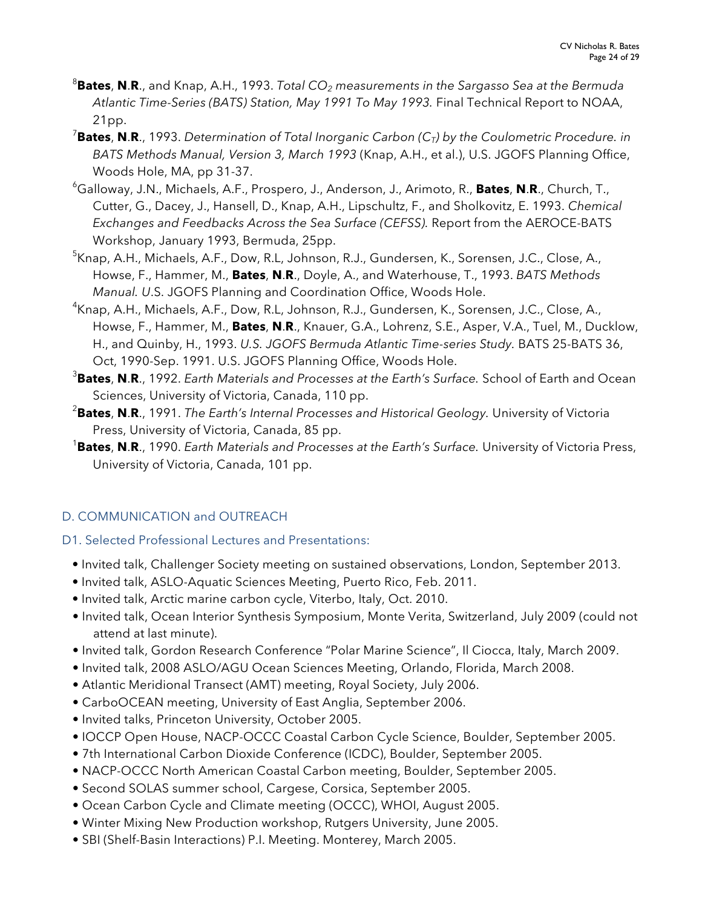- 8 **Bates**, **N**.**R**., and Knap, A.H., 1993. *Total CO2 measurements in the Sargasso Sea at the Bermuda Atlantic Time-Series (BATS) Station, May 1991 To May 1993.* Final Technical Report to NOAA, 21pp.
- 7 **Bates**, **N**.**R**., 1993. *Determination of Total Inorganic Carbon (CT) by the Coulometric Procedure. in BATS Methods Manual, Version 3, March 1993* (Knap, A.H., et al.), U.S. JGOFS Planning Office, Woods Hole, MA, pp 31-37.
- 6 Galloway, J.N., Michaels, A.F., Prospero, J., Anderson, J., Arimoto, R., **Bates**, **N**.**R**., Church, T., Cutter, G., Dacey, J., Hansell, D., Knap, A.H., Lipschultz, F., and Sholkovitz, E. 1993. *Chemical Exchanges and Feedbacks Across the Sea Surface (CEFSS).* Report from the AEROCE-BATS Workshop, January 1993, Bermuda, 25pp.
- <sup>5</sup>Knap, A.H., Michaels, A.F., Dow, R.L, Johnson, R.J., Gundersen, K., Sorensen, J.C., Close, A., Howse, F., Hammer, M., **Bates**, **N**.**R**., Doyle, A., and Waterhouse, T., 1993. *BATS Methods Manual. U*.S. JGOFS Planning and Coordination Office, Woods Hole.
- <sup>4</sup>Knap, A.H., Michaels, A.F., Dow, R.L, Johnson, R.J., Gundersen, K., Sorensen, J.C., Close, A., Howse, F., Hammer, M., **Bates**, **N**.**R**., Knauer, G.A., Lohrenz, S.E., Asper, V.A., Tuel, M., Ducklow, H., and Quinby, H., 1993. *U.S. JGOFS Bermuda Atlantic Time-series Study.* BATS 25-BATS 36, Oct, 1990-Sep. 1991. U.S. JGOFS Planning Office, Woods Hole.
- 3 **Bates**, **N**.**R**., 1992. *Earth Materials and Processes at the Earth's Surface.* School of Earth and Ocean Sciences, University of Victoria, Canada, 110 pp.
- 2 **Bates**, **N**.**R**., 1991. *The Earth's Internal Processes and Historical Geology.* University of Victoria Press, University of Victoria, Canada, 85 pp.
- 1 **Bates**, **N**.**R**., 1990. *Earth Materials and Processes at the Earth's Surface.* University of Victoria Press, University of Victoria, Canada, 101 pp.

# D. COMMUNICATION and OUTREACH

- D1. Selected Professional Lectures and Presentations:
	- Invited talk, Challenger Society meeting on sustained observations, London, September 2013.
	- Invited talk, ASLO-Aquatic Sciences Meeting, Puerto Rico, Feb. 2011.
	- Invited talk, Arctic marine carbon cycle, Viterbo, Italy, Oct. 2010.
	- Invited talk, Ocean Interior Synthesis Symposium, Monte Verita, Switzerland, July 2009 (could not attend at last minute).
	- Invited talk, Gordon Research Conference "Polar Marine Science", Il Ciocca, Italy, March 2009.
	- Invited talk, 2008 ASLO/AGU Ocean Sciences Meeting, Orlando, Florida, March 2008.
	- Atlantic Meridional Transect (AMT) meeting, Royal Society, July 2006.
	- CarboOCEAN meeting, University of East Anglia, September 2006.
	- Invited talks, Princeton University, October 2005.
	- IOCCP Open House, NACP-OCCC Coastal Carbon Cycle Science, Boulder, September 2005.
	- 7th International Carbon Dioxide Conference (ICDC), Boulder, September 2005.
	- NACP-OCCC North American Coastal Carbon meeting, Boulder, September 2005.
	- Second SOLAS summer school, Cargese, Corsica, September 2005.
	- Ocean Carbon Cycle and Climate meeting (OCCC), WHOI, August 2005.
	- Winter Mixing New Production workshop, Rutgers University, June 2005.
	- SBI (Shelf-Basin Interactions) P.I. Meeting. Monterey, March 2005.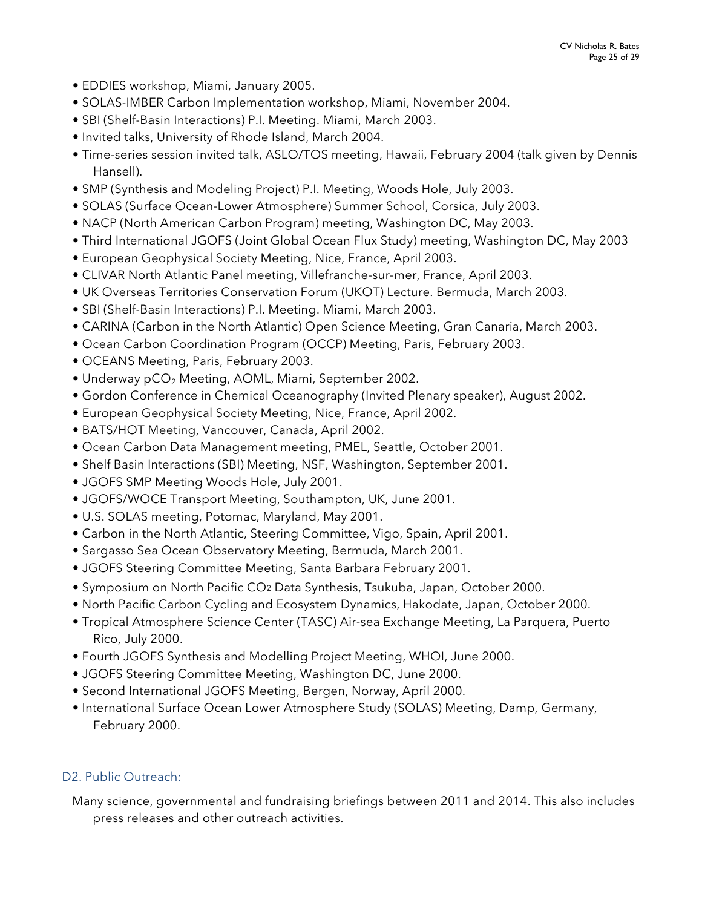- EDDIES workshop, Miami, January 2005.
- SOLAS-IMBER Carbon Implementation workshop, Miami, November 2004.
- SBI (Shelf-Basin Interactions) P.I. Meeting. Miami, March 2003.
- Invited talks, University of Rhode Island, March 2004.
- Time-series session invited talk, ASLO/TOS meeting, Hawaii, February 2004 (talk given by Dennis Hansell).
- SMP (Synthesis and Modeling Project) P.I. Meeting, Woods Hole, July 2003.
- SOLAS (Surface Ocean-Lower Atmosphere) Summer School, Corsica, July 2003.
- NACP (North American Carbon Program) meeting, Washington DC, May 2003.
- Third International JGOFS (Joint Global Ocean Flux Study) meeting, Washington DC, May 2003
- European Geophysical Society Meeting, Nice, France, April 2003.
- CLIVAR North Atlantic Panel meeting, Villefranche-sur-mer, France, April 2003.
- UK Overseas Territories Conservation Forum (UKOT) Lecture. Bermuda, March 2003.
- SBI (Shelf-Basin Interactions) P.I. Meeting. Miami, March 2003.
- CARINA (Carbon in the North Atlantic) Open Science Meeting, Gran Canaria, March 2003.
- Ocean Carbon Coordination Program (OCCP) Meeting, Paris, February 2003.
- OCEANS Meeting, Paris, February 2003.
- Underway pCO<sub>2</sub> Meeting, AOML, Miami, September 2002.
- Gordon Conference in Chemical Oceanography (Invited Plenary speaker), August 2002.
- European Geophysical Society Meeting, Nice, France, April 2002.
- BATS/HOT Meeting, Vancouver, Canada, April 2002.
- Ocean Carbon Data Management meeting, PMEL, Seattle, October 2001.
- Shelf Basin Interactions (SBI) Meeting, NSF, Washington, September 2001.
- JGOFS SMP Meeting Woods Hole, July 2001.
- JGOFS/WOCE Transport Meeting, Southampton, UK, June 2001.
- U.S. SOLAS meeting, Potomac, Maryland, May 2001.
- Carbon in the North Atlantic, Steering Committee, Vigo, Spain, April 2001.
- Sargasso Sea Ocean Observatory Meeting, Bermuda, March 2001.
- JGOFS Steering Committee Meeting, Santa Barbara February 2001.
- Symposium on North Pacific CO2 Data Synthesis, Tsukuba, Japan, October 2000.
- North Pacific Carbon Cycling and Ecosystem Dynamics, Hakodate, Japan, October 2000.
- Tropical Atmosphere Science Center (TASC) Air-sea Exchange Meeting, La Parquera, Puerto Rico, July 2000.
- Fourth JGOFS Synthesis and Modelling Project Meeting, WHOI, June 2000.
- JGOFS Steering Committee Meeting, Washington DC, June 2000.
- Second International JGOFS Meeting, Bergen, Norway, April 2000.
- International Surface Ocean Lower Atmosphere Study (SOLAS) Meeting, Damp, Germany, February 2000.

# D2. Public Outreach:

Many science, governmental and fundraising briefings between 2011 and 2014. This also includes press releases and other outreach activities.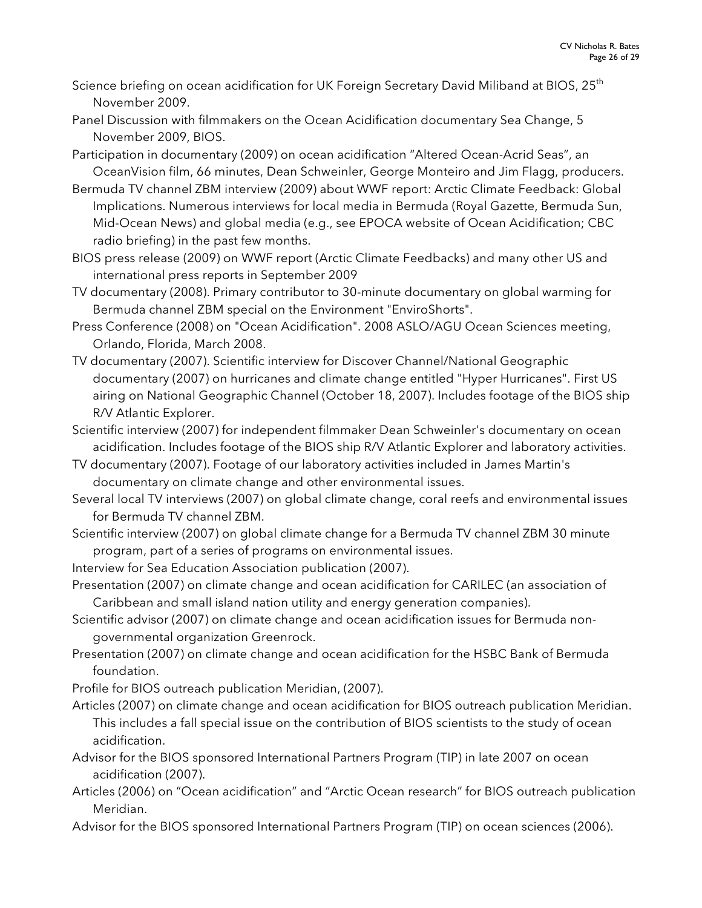- Science briefing on ocean acidification for UK Foreign Secretary David Miliband at BIOS, 25<sup>th</sup> November 2009.
- Panel Discussion with filmmakers on the Ocean Acidification documentary Sea Change, 5 November 2009, BIOS.
- Participation in documentary (2009) on ocean acidification "Altered Ocean-Acrid Seas", an OceanVision film, 66 minutes, Dean Schweinler, George Monteiro and Jim Flagg, producers.
- Bermuda TV channel ZBM interview (2009) about WWF report: Arctic Climate Feedback: Global Implications. Numerous interviews for local media in Bermuda (Royal Gazette, Bermuda Sun, Mid-Ocean News) and global media (e.g., see EPOCA website of Ocean Acidification; CBC radio briefing) in the past few months.
- BIOS press release (2009) on WWF report (Arctic Climate Feedbacks) and many other US and international press reports in September 2009
- TV documentary (2008). Primary contributor to 30-minute documentary on global warming for Bermuda channel ZBM special on the Environment "EnviroShorts".
- Press Conference (2008) on "Ocean Acidification". 2008 ASLO/AGU Ocean Sciences meeting, Orlando, Florida, March 2008.
- TV documentary (2007). Scientific interview for Discover Channel/National Geographic documentary (2007) on hurricanes and climate change entitled "Hyper Hurricanes". First US airing on National Geographic Channel (October 18, 2007). Includes footage of the BIOS ship R/V Atlantic Explorer.
- Scientific interview (2007) for independent filmmaker Dean Schweinler's documentary on ocean acidification. Includes footage of the BIOS ship R/V Atlantic Explorer and laboratory activities.
- TV documentary (2007). Footage of our laboratory activities included in James Martin's documentary on climate change and other environmental issues.
- Several local TV interviews (2007) on global climate change, coral reefs and environmental issues for Bermuda TV channel ZBM.
- Scientific interview (2007) on global climate change for a Bermuda TV channel ZBM 30 minute program, part of a series of programs on environmental issues.
- Interview for Sea Education Association publication (2007).
- Presentation (2007) on climate change and ocean acidification for CARILEC (an association of Caribbean and small island nation utility and energy generation companies).
- Scientific advisor (2007) on climate change and ocean acidification issues for Bermuda nongovernmental organization Greenrock.
- Presentation (2007) on climate change and ocean acidification for the HSBC Bank of Bermuda foundation.
- Profile for BIOS outreach publication Meridian, (2007).
- Articles (2007) on climate change and ocean acidification for BIOS outreach publication Meridian. This includes a fall special issue on the contribution of BIOS scientists to the study of ocean acidification.
- Advisor for the BIOS sponsored International Partners Program (TIP) in late 2007 on ocean acidification (2007).
- Articles (2006) on "Ocean acidification" and "Arctic Ocean research" for BIOS outreach publication Meridian.
- Advisor for the BIOS sponsored International Partners Program (TIP) on ocean sciences (2006).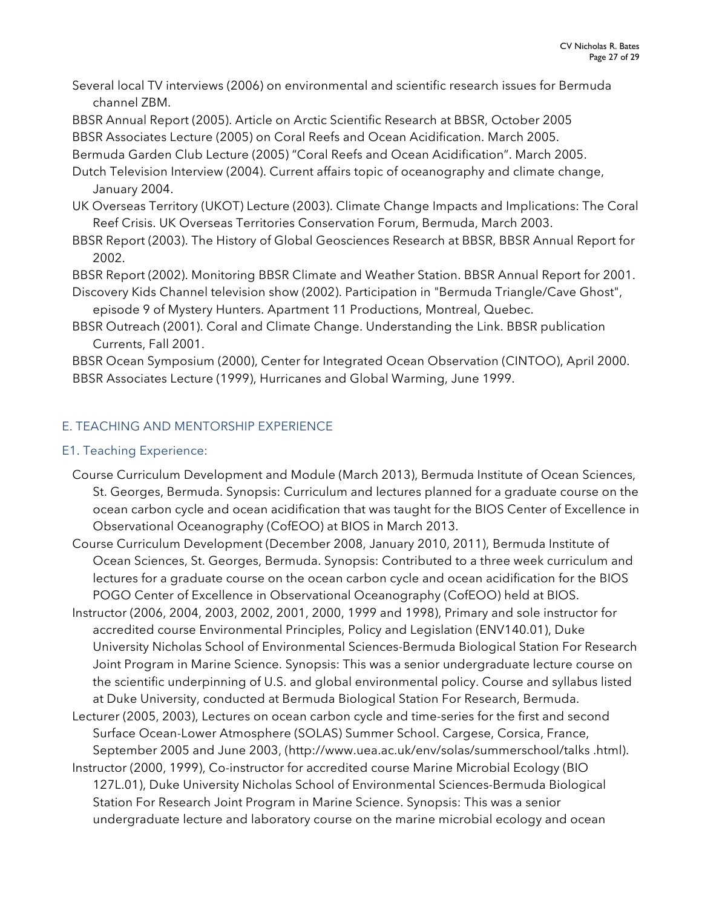Several local TV interviews (2006) on environmental and scientific research issues for Bermuda channel ZBM.

BBSR Annual Report (2005). Article on Arctic Scientific Research at BBSR, October 2005 BBSR Associates Lecture (2005) on Coral Reefs and Ocean Acidification. March 2005.

Bermuda Garden Club Lecture (2005) "Coral Reefs and Ocean Acidification". March 2005.

Dutch Television Interview (2004). Current affairs topic of oceanography and climate change, January 2004.

UK Overseas Territory (UKOT) Lecture (2003). Climate Change Impacts and Implications: The Coral Reef Crisis. UK Overseas Territories Conservation Forum, Bermuda, March 2003.

BBSR Report (2003). The History of Global Geosciences Research at BBSR, BBSR Annual Report for 2002.

BBSR Report (2002). Monitoring BBSR Climate and Weather Station. BBSR Annual Report for 2001.

Discovery Kids Channel television show (2002). Participation in "Bermuda Triangle/Cave Ghost", episode 9 of Mystery Hunters. Apartment 11 Productions, Montreal, Quebec.

BBSR Outreach (2001). Coral and Climate Change. Understanding the Link. BBSR publication Currents, Fall 2001.

BBSR Ocean Symposium (2000), Center for Integrated Ocean Observation (CINTOO), April 2000. BBSR Associates Lecture (1999), Hurricanes and Global Warming, June 1999.

## E. TEACHING AND MENTORSHIP EXPERIENCE

#### E1. Teaching Experience:

Course Curriculum Development and Module (March 2013), Bermuda Institute of Ocean Sciences, St. Georges, Bermuda. Synopsis: Curriculum and lectures planned for a graduate course on the ocean carbon cycle and ocean acidification that was taught for the BIOS Center of Excellence in Observational Oceanography (CofEOO) at BIOS in March 2013.

Course Curriculum Development (December 2008, January 2010, 2011), Bermuda Institute of Ocean Sciences, St. Georges, Bermuda. Synopsis: Contributed to a three week curriculum and lectures for a graduate course on the ocean carbon cycle and ocean acidification for the BIOS POGO Center of Excellence in Observational Oceanography (CofEOO) held at BIOS.

Instructor (2006, 2004, 2003, 2002, 2001, 2000, 1999 and 1998), Primary and sole instructor for accredited course Environmental Principles, Policy and Legislation (ENV140.01), Duke University Nicholas School of Environmental Sciences-Bermuda Biological Station For Research Joint Program in Marine Science. Synopsis: This was a senior undergraduate lecture course on the scientific underpinning of U.S. and global environmental policy. Course and syllabus listed at Duke University, conducted at Bermuda Biological Station For Research, Bermuda.

Lecturer (2005, 2003), Lectures on ocean carbon cycle and time-series for the first and second Surface Ocean-Lower Atmosphere (SOLAS) Summer School. Cargese, Corsica, France, September 2005 and June 2003, (http://www.uea.ac.uk/env/solas/summerschool/talks .html).

Instructor (2000, 1999), Co-instructor for accredited course Marine Microbial Ecology (BIO 127L.01), Duke University Nicholas School of Environmental Sciences-Bermuda Biological Station For Research Joint Program in Marine Science. Synopsis: This was a senior undergraduate lecture and laboratory course on the marine microbial ecology and ocean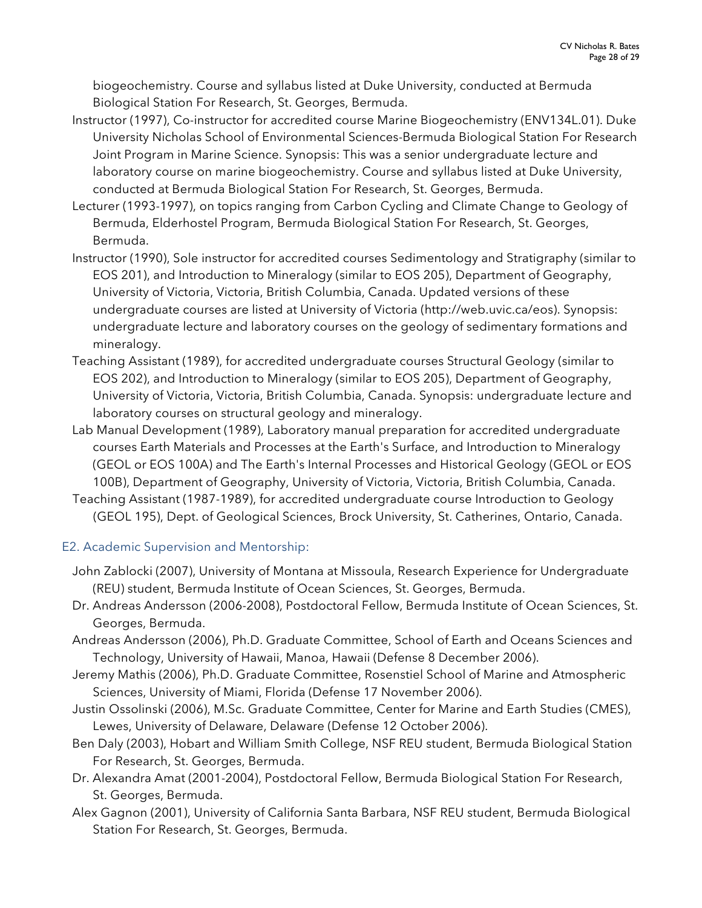biogeochemistry. Course and syllabus listed at Duke University, conducted at Bermuda Biological Station For Research, St. Georges, Bermuda.

- Instructor (1997), Co-instructor for accredited course Marine Biogeochemistry (ENV134L.01). Duke University Nicholas School of Environmental Sciences-Bermuda Biological Station For Research Joint Program in Marine Science. Synopsis: This was a senior undergraduate lecture and laboratory course on marine biogeochemistry. Course and syllabus listed at Duke University, conducted at Bermuda Biological Station For Research, St. Georges, Bermuda.
- Lecturer (1993-1997), on topics ranging from Carbon Cycling and Climate Change to Geology of Bermuda, Elderhostel Program, Bermuda Biological Station For Research, St. Georges, Bermuda.
- Instructor (1990), Sole instructor for accredited courses Sedimentology and Stratigraphy (similar to EOS 201), and Introduction to Mineralogy (similar to EOS 205), Department of Geography, University of Victoria, Victoria, British Columbia, Canada. Updated versions of these undergraduate courses are listed at University of Victoria (http://web.uvic.ca/eos). Synopsis: undergraduate lecture and laboratory courses on the geology of sedimentary formations and mineralogy.
- Teaching Assistant (1989), for accredited undergraduate courses Structural Geology (similar to EOS 202), and Introduction to Mineralogy (similar to EOS 205), Department of Geography, University of Victoria, Victoria, British Columbia, Canada. Synopsis: undergraduate lecture and laboratory courses on structural geology and mineralogy.
- Lab Manual Development (1989), Laboratory manual preparation for accredited undergraduate courses Earth Materials and Processes at the Earth's Surface, and Introduction to Mineralogy (GEOL or EOS 100A) and The Earth's Internal Processes and Historical Geology (GEOL or EOS 100B), Department of Geography, University of Victoria, Victoria, British Columbia, Canada.
- Teaching Assistant (1987-1989), for accredited undergraduate course Introduction to Geology (GEOL 195), Dept. of Geological Sciences, Brock University, St. Catherines, Ontario, Canada.

# E2. Academic Supervision and Mentorship:

- John Zablocki (2007), University of Montana at Missoula, Research Experience for Undergraduate (REU) student, Bermuda Institute of Ocean Sciences, St. Georges, Bermuda.
- Dr. Andreas Andersson (2006-2008), Postdoctoral Fellow, Bermuda Institute of Ocean Sciences, St. Georges, Bermuda.
- Andreas Andersson (2006), Ph.D. Graduate Committee, School of Earth and Oceans Sciences and Technology, University of Hawaii, Manoa, Hawaii (Defense 8 December 2006).
- Jeremy Mathis (2006), Ph.D. Graduate Committee, Rosenstiel School of Marine and Atmospheric Sciences, University of Miami, Florida (Defense 17 November 2006).
- Justin Ossolinski (2006), M.Sc. Graduate Committee, Center for Marine and Earth Studies (CMES), Lewes, University of Delaware, Delaware (Defense 12 October 2006).
- Ben Daly (2003), Hobart and William Smith College, NSF REU student, Bermuda Biological Station For Research, St. Georges, Bermuda.
- Dr. Alexandra Amat (2001-2004), Postdoctoral Fellow, Bermuda Biological Station For Research, St. Georges, Bermuda.
- Alex Gagnon (2001), University of California Santa Barbara, NSF REU student, Bermuda Biological Station For Research, St. Georges, Bermuda.